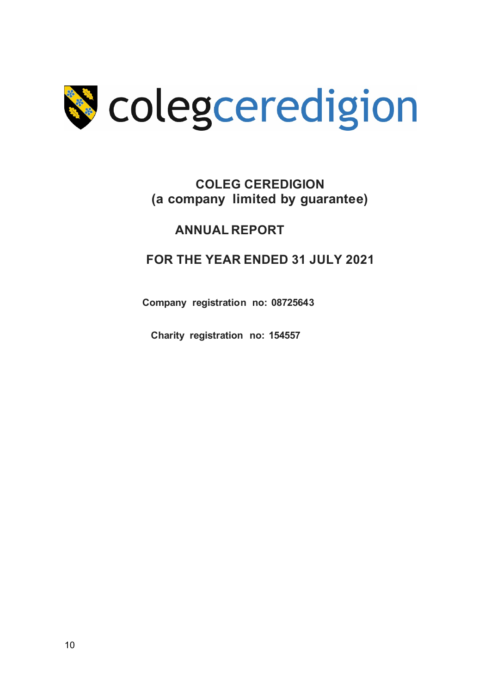

## **COLEG CEREDIGION (a company limited by guarantee)**

## **ANNUAL REPORT**

## **FOR THE YEAR ENDED 31 JULY 2021**

**Company registration no: 08725643**

**Charity registration no: 154557**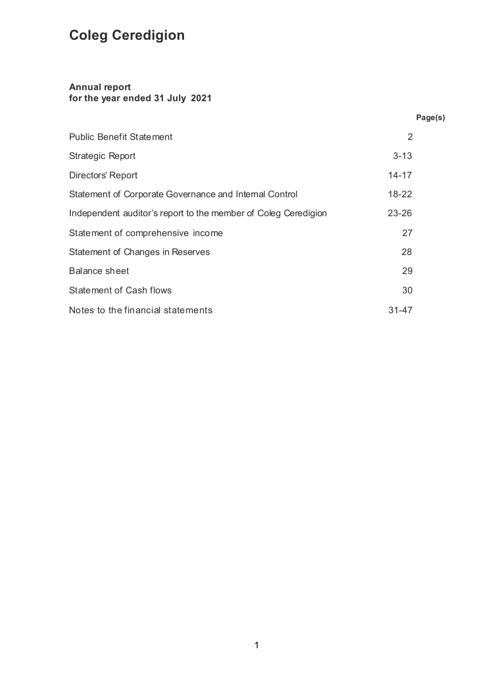## **Annual report for the year ended 31 July 2021**

|                                                                | Page(s)   |
|----------------------------------------------------------------|-----------|
| <b>Public Benefit Statement</b>                                | 2         |
| <b>Strategic Report</b>                                        | $3 - 13$  |
| Directors' Report                                              | $14 - 17$ |
| Statement of Corporate Governance and Internal Control         | 18-22     |
| Independent auditor's report to the member of Coleg Ceredigion | 23-26     |
| Statement of comprehensive income                              | 27        |
| Statement of Changes in Reserves                               | 28        |
| <b>Balance sheet</b>                                           | 29        |
| <b>Statement of Cash flows</b>                                 | 30        |
| Notes to the financial statements                              | $31 - 47$ |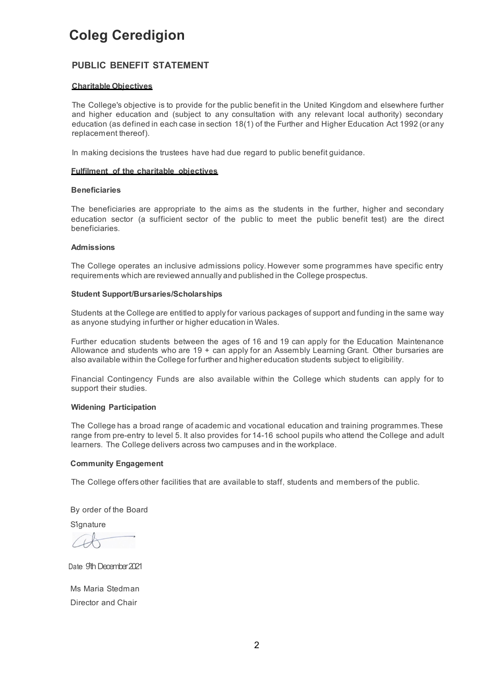## **PUBLIC BENEFIT STATEMENT**

#### **Charitable Objectives**

The College's objective is to provide for the public benefit in the United Kingdom and elsewhere further and higher education and (subject to any consultation with any relevant local authority) secondary education (as defined in each case in section 18(1) of the Further and Higher Education Act 1992 (or any replacement thereof).

In making decisions the trustees have had due regard to public benefit guidance.

#### **Fulfilment of the charitable objectives**

#### **Beneficiaries**

The beneficiaries are appropriate to the aims as the students in the further, higher and secondary education sector (a sufficient sector of the public to meet the public benefit test) are the direct beneficiaries.

#### **Admissions**

The College operates an inclusive admissions policy.However some programmes have specific entry requirements which are reviewed annually and published in the College prospectus.

#### **Student Support/Bursaries/Scholarships**

Students at the College are entitled to apply for various packages of support and funding in the same way as anyone studying infurther or higher education in Wales.

Further education students between the ages of 16 and 19 can apply for the Education Maintenance Allowance and students who are 19 + can apply for an Assembly Learning Grant. Other bursaries are also available within the College for further and higher education students subject to eligibility.

Financial Contingency Funds are also available within the College which students can apply for to support their studies.

### **Widening Participation**

The College has a broad range of academic and vocational education and training programmes. These range from pre-entry to level 5. It also provides for 14-16 school pupils who attend the College and adult learners. The College delivers across two campuses and in the workplace.

#### **Community Engagement**

The College offers other facilities that are available to staff, students and members of the public.

By order of the Board

**S**ignature

Date: 9th December 2021

Ms Maria Stedman Director and Chair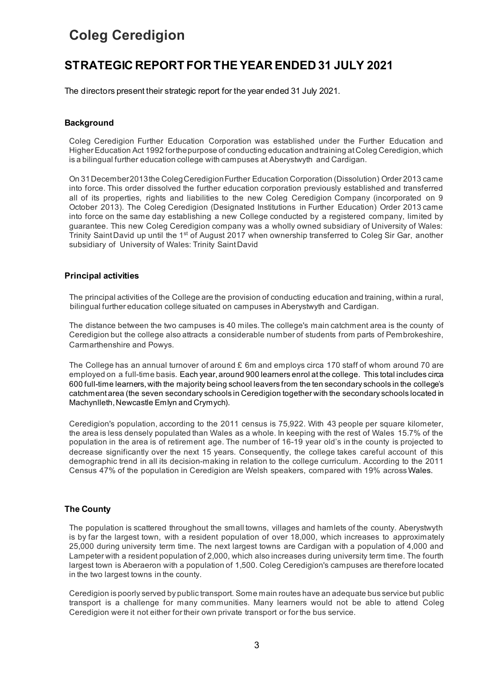## **STRATEGIC REPORT FOR THE YEAR ENDED 31 JULY 2021**

The directors present their strategic report for the year ended 31 July 2021.

#### **Background**

Coleg Ceredigion Further Education Corporation was established under the Further Education and Higher Education Act 1992 forthepurpose of conducting education andtraining atColeg Ceredigion, which is a bilingual further education college with campuses at Aberystwyth and Cardigan.

On 31December2013the ColegCeredigionFurther Education Corporation (Dissolution) Order 2013 came into force. This order dissolved the further education corporation previously established and transferred all of its properties, rights and liabilities to the new Coleg Ceredigion Company (incorporated on 9 October 2013). The Coleg Ceredigion (Designated Institutions in Further Education) Order 2013 came into force on the same day establishing a new College conducted by a registered company, limited by guarantee. This new Coleg Ceredigion company was a wholly owned subsidiary of University of Wales: Trinity Saint David up until the 1<sup>st</sup> of August 2017 when ownership transferred to Coleg Sir Gar, another subsidiary of University of Wales: Trinity SaintDavid

#### **Principal activities**

The principal activities of the College are the provision of conducting education and training, within a rural, bilingual further education college situated on campuses in Aberystwyth and Cardigan.

The distance between the two campuses is 40 miles.The college's main catchment area is the county of Ceredigion but the college also attracts a considerable number of students from parts of Pembrokeshire, Carmarthenshire and Powys.

The College has an annual turnover of around £ 6m and employs circa 170 staff of whom around 70 are employed on a full-time basis. Each year, around 900 learners enrol at the college. This total includes circa 600 full-time learners, with the majority being school leavers from the ten secondary schools in the college's catchment area (the seven secondary schools in Ceredigion together with the secondary schools located in Machynlleth, Newcastle Emlyn and Crymych).

Ceredigion's population, according to the 2011 census is 75,922. With 43 people per square kilometer, the area is less densely populated than Wales as a whole. In keeping with the rest of Wales 15.7% of the population in the area is of retirement age. The number of 16-19 year old's in the county is projected to decrease significantly over the next 15 years. Consequently, the college takes careful account of this demographic trend in all its decision-making in relation to the college curriculum. According to the 2011 Census 47% of the population in Ceredigion are Welsh speakers, compared with 19% across Wales.

### **The County**

The population is scattered throughout the small towns, villages and hamlets of the county. Aberystwyth is by far the largest town, with a resident population of over 18,000, which increases to approximately 25,000 during university term time. The next largest towns are Cardigan with a population of 4,000 and Lampeter with a resident population of 2,000, which also increases during university term time. The fourth largest town is Aberaeron with a population of 1,500. Coleg Ceredigion's campuses are therefore located in the two largest towns in the county.

Ceredigion is poorly served by public transport. Some main routes have an adequate bus service but public transport is a challenge for many communities. Many learners would not be able to attend Coleg Ceredigion were it not either for their own private transport or for the bus service.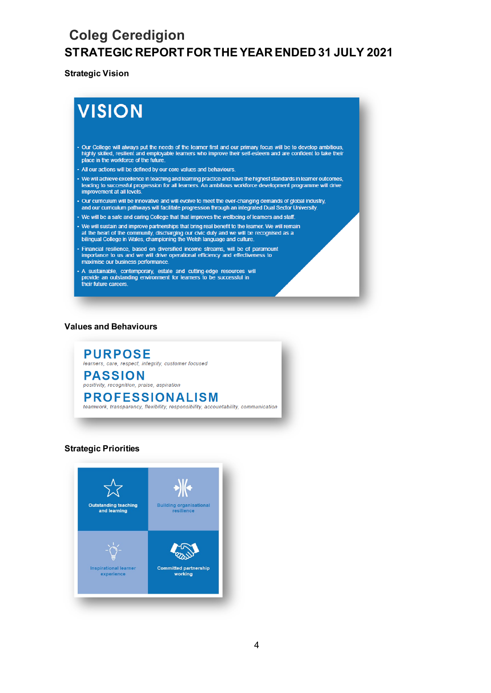## **Strategic Vision**

# **VISION**

- Our College will always put the needs of the learner first and our primary focus will be to develop ambitious, highly skilled, resilient and employable learners who improve their self-esteem and are confident to take the
- All our actions will be defined by our core values and behaviours.
- We will achieve excellence in teaching and learning practice and have the highest standards in learner outcomes, leading to successful progression for all learners. An ambitious workforce development programme will drive improvement at all levels.
- Our curriculum will be innovative and will evolve to meet the ever-changing demands of global industry, and our curriculum pathways will facilitate progression through an integrated Dual Sector University.
- We will be a safe and caring College that that improves the wellbeing of learners and staff.
- We will sustain and improve partnerships that bring real benefit to the learner. We will remain at the heart of the community, discharging our civic duty and we will be recognised as a bilingual College in Wales, championing the Welsh language and culture.
- Financial resilience, based on diversified income streams, will be of paramount importance to us and we will drive operational efficiency and effectiveness to maximise our business performance.
- A sustainable, contemporary, estate and cutting-edge resources will provide an outstanding environment for learners to be successful in their future careers.

#### **Values and Behaviours**



#### **Strategic Priorities**

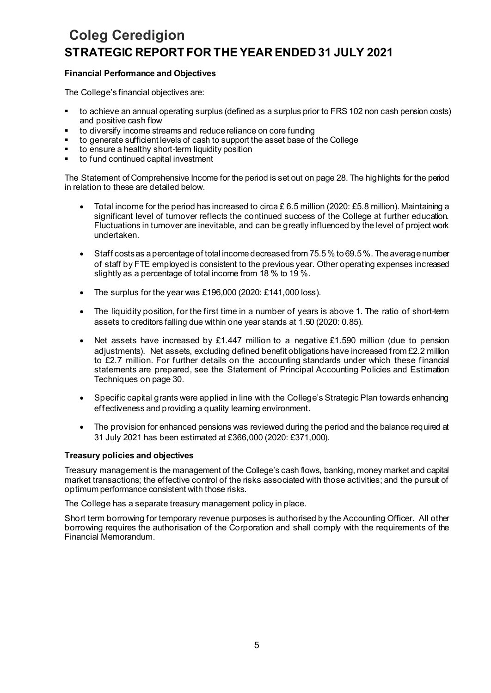## **Financial Performance and Objectives**

The College's financial objectives are:

- to achieve an annual operating surplus (defined as a surplus prior to FRS 102 non cash pension costs) and positive cash flow
- to diversify income streams and reduce reliance on core funding
- to generate sufficient levels of cash to support the asset base of the College
- **to ensure a healthy short-term liquidity position**
- to fund continued capital investment

The Statement of Comprehensive Income for the period is set out on page 28. The highlights for the period in relation to these are detailed below.

- Total income for the period has increased to circa £ 6.5 million (2020: £5.8 million). Maintaining a significant level of turnover reflects the continued success of the College at further education. Fluctuations in turnover are inevitable, and can be greatly influenced by the level of project work undertaken.
- $\bullet$  Staff costs as a percentage of total income decreased from 75.5 % to 69.5 %. The average number of staff by FTE employed is consistent to the previous year. Other operating expenses increased slightly as a percentage of total income from 18 % to 19 %.
- The surplus for the year was £196,000 (2020: £141,000 loss).
- The liquidity position, for the first time in a number of years is above 1. The ratio of short-term assets to creditors falling due within one year stands at 1.50 (2020: 0.85).
- Net assets have increased by £1.447 million to a negative £1.590 million (due to pension adjustments). Net assets, excluding defined benefit obligations have increased from £2.2 million to £2.7 million. For further details on the accounting standards under which these financial statements are prepared, see the Statement of Principal Accounting Policies and Estimation Techniques on page 30.
- Specific capital grants were applied in line with the College's Strategic Plan towards enhancing effectiveness and providing a quality learning environment.
- The provision for enhanced pensions was reviewed during the period and the balance required at 31 July 2021 has been estimated at £366,000 (2020: £371,000).

## **Treasury policies and objectives**

Treasury management is the management of the College's cash flows, banking, money market and capital market transactions; the effective control of the risks associated with those activities; and the pursuit of optimum performance consistent with those risks.

The College has a separate treasury management policy in place.

Short term borrowing for temporary revenue purposes is authorised by the Accounting Officer. All other borrowing requires the authorisation of the Corporation and shall comply with the requirements of the Financial Memorandum.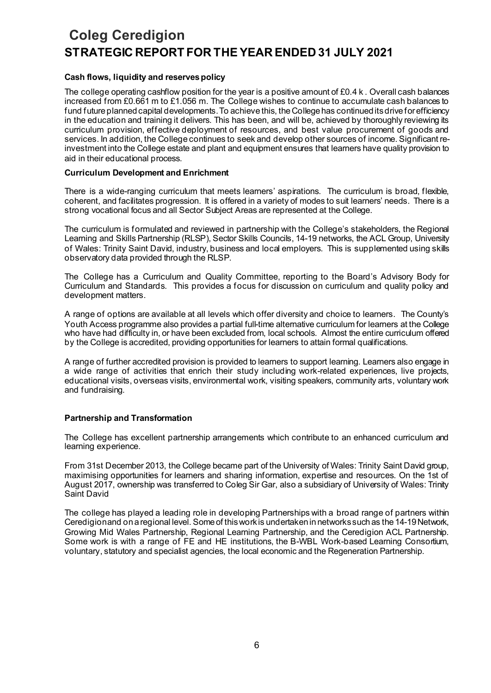## **Cash flows, liquidity and reserves policy**

The college operating cashflow position for the year is a positive amount of £0.4 k. Overall cash balances increased from £0.661 m to £1.056 m. The College wishes to continue to accumulate cash balances to fund future planned capital developments. To achieve this, the College has continued its drive for efficiency in the education and training it delivers. This has been, and will be, achieved by thoroughly reviewing its curriculum provision, effective deployment of resources, and best value procurement of goods and services. In addition, the College continues to seek and develop other sources of income. Significant reinvestment into the College estate and plant and equipment ensures that learners have quality provision to aid in their educational process.

### **Curriculum Development and Enrichment**

There is a wide-ranging curriculum that meets learners' aspirations. The curriculum is broad, flexible, coherent, and facilitates progression. It is offered in a variety of modes to suit learners' needs. There is a strong vocational focus and all Sector Subject Areas are represented at the College.

The curriculum is formulated and reviewed in partnership with the College's stakeholders, the Regional Learning and Skills Partnership (RLSP), Sector Skills Councils, 14-19 networks, the ACL Group, University of Wales: Trinity Saint David, industry, business and local employers. This is supplemented using skills observatory data provided through the RLSP.

The College has a Curriculum and Quality Committee, reporting to the Board's Advisory Body for Curriculum and Standards. This provides a focus for discussion on curriculum and quality policy and development matters.

A range of options are available at all levels which offer diversity and choice to learners. The County's Youth Access programme also provides a partial full-time alternative curriculum for learners at the College who have had difficulty in, or have been excluded from, local schools. Almost the entire curriculum offered by the College is accredited, providing opportunities for learners to attain formal qualifications.

A range of further accredited provision is provided to learners to support learning. Learners also engage in a wide range of activities that enrich their study including work-related experiences, live projects, educational visits, overseas visits, environmental work, visiting speakers, community arts, voluntary work and fundraising.

## **Partnership and Transformation**

The College has excellent partnership arrangements which contribute to an enhanced curriculum and learning experience.

From 31st December 2013, the College became part of the University of Wales: Trinity Saint David group, maximising opportunities for learners and sharing information, expertise and resources. On the 1st of August 2017, ownership was transferred to Coleg Sir Gar, also a subsidiary of University of Wales: Trinity Saint David

The college has played a leading role in developing Partnerships with a broad range of partners within Ceredigion and on a regional level. Some of this work is undertaken in networks such as the 14-19 Network, Growing Mid Wales Partnership, Regional Learning Partnership, and the Ceredigion ACL Partnership. Some work is with a range of FE and HE institutions, the B-WBL Work-based Learning Consortium, voluntary, statutory and specialist agencies, the local economic and the Regeneration Partnership.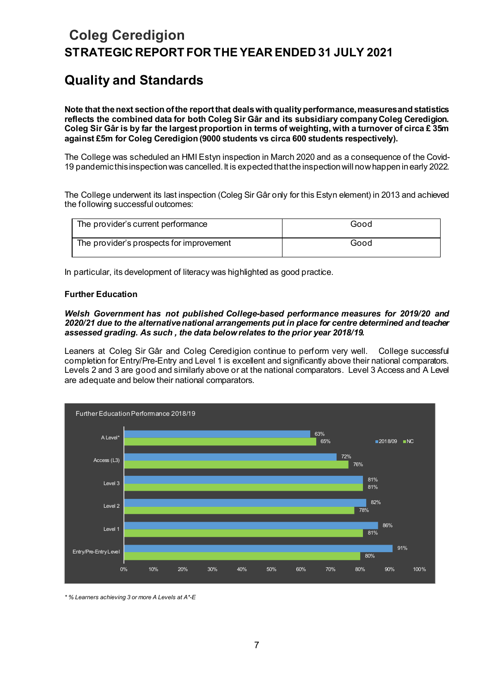## **Quality and Standards**

**Note that the next section of the report that deals with quality performance, measures and statistics reflects the combined data for both Coleg Sir Gâr and its subsidiary company Coleg Ceredigion. Coleg Sir Gâr is by far the largest proportion in terms of weighting, with a turnover of circa £ 35m against £5m for Coleg Ceredigion (9000 students vs circa 600 students respectively).**

The College was scheduled an HMI Estyn inspection in March 2020 and as a consequence of the Covid-19 pandemic this inspection was cancelled.It is expected that the inspection will now happen in early 2022.

The College underwent its last inspection (Coleg Sir Gâr only for this Estyn element) in 2013 and achieved the following successful outcomes:

| The provider's current performance       | Good |
|------------------------------------------|------|
| The provider's prospects for improvement | Good |

In particular, its development of literacy was highlighted as good practice.

## **Further Education**

## *Welsh Government has not published College-based performance measures for 2019/20 and 2020/21 due to the alternative national arrangements put in place for centre determined and teacher assessed grading. As such , the data below relates to the prior year 2018/19.*

Leaners at Coleg Sir Gâr and Coleg Ceredigion continue to perform very well. College successful completion for Entry/Pre-Entry and Level 1 is excellent and significantly above their national comparators. Levels 2 and 3 are good and similarly above or at the national comparators. Level 3 Access and A Level are adequate and below their national comparators.



*\* % Learners achieving 3 or more A Levels at A\*-E*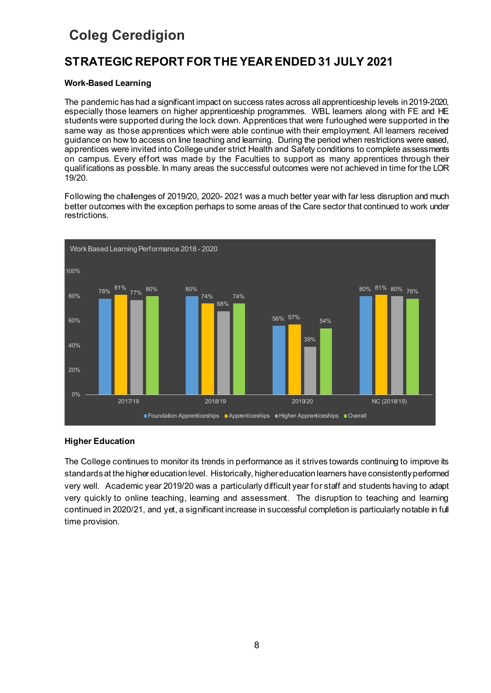## **STRATEGIC REPORT FOR THE YEAR ENDED 31 JULY 2021**

## **Work-Based Learning**

The pandemic has had a significant impact on success rates across all apprenticeship levels in 2019-2020, especially those learners on higher apprenticeship programmes. WBL learners along with FE and HE students were supported during the lock down. Apprentices that were furloughed were supported in the same way as those apprentices which were able continue with their employment. All learners received guidance on how to access on line teaching and learning. During the period when restrictions were eased, apprentices were invited into College under strict Health and Safety conditions to complete assessments on campus. Every effort was made by the Faculties to support as many apprentices through their qualifications as possible. In many areas the successful outcomes were not achieved in time for the LOR 19/20.

Following the challenges of 2019/20, 2020- 2021 was a much better year with far less disruption and much better outcomes with the exception perhaps to some areas of the Care sector that continued to work under restrictions.



## **Higher Education**

The College continues to monitor its trends in performance as it strives towards continuing to improve its standards at the higher education level. Historically, higher education learners have consistently performed very well. Academic year 2019/20 was a particularly difficult year for staff and students having to adapt very quickly to online teaching, learning and assessment. The disruption to teaching and learning continued in 2020/21, and yet, a significant increase in successful completion is particularly notable in full time provision.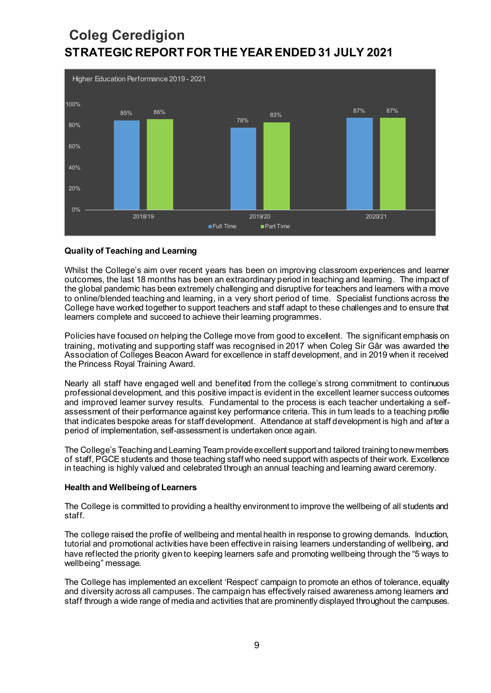

## **Quality of Teaching and Learning**

Whilst the College's aim over recent years has been on improving classroom experiences and learner outcomes, the last 18 months has been an extraordinary period in teaching and learning. The impact of the global pandemic has been extremely challenging and disruptive for teachers and learners with a move to online/blended teaching and learning, in a very short period of time. Specialist functions across the College have worked together to support teachers and staff adapt to these challenges and to ensure that learners complete and succeed to achieve their learning programmes.

Policies have focused on helping the College move from good to excellent. The significant emphasis on training, motivating and supporting staff was recognised in 2017 when Coleg Sir Gâr was awarded the Association of Colleges Beacon Award for excellence in staff development, and in 2019 when it received the Princess Royal Training Award.

Nearly all staff have engaged well and benefited from the college's strong commitment to continuous professional development, and this positive impact is evident in the excellent learner success outcomes and improved learner survey results. Fundamental to the process is each teacher undertaking a selfassessment of their performance against key performance criteria. This in turn leads to a teaching profile that indicates bespoke areas for staff development. Attendance at staff development is high and after a period of implementation, self-assessment is undertaken once again.

The College's Teaching and Learning Team provide excellent support and tailored training to new members of staff, PGCE students and those teaching staff who need support with aspects of their work. Excellence in teaching is highly valued and celebrated through an annual teaching and learning award ceremony.

#### **Health and Wellbeing of Learners**

The College is committed to providing a healthy environment to improve the wellbeing of all students and staff.

The college raised the profile of wellbeing and mental health in response to growing demands. Induction, tutorial and promotional activities have been effective in raising learners understanding of wellbeing, and have reflected the priority given to keeping learners safe and promoting wellbeing through the "5 ways to wellbeing" message.

The College has implemented an excellent 'Respect' campaign to promote an ethos of tolerance, equality and diversity across all campuses. The campaign has effectively raised awareness among learners and staff through a wide range of media and activities that are prominently displayed throughout the campuses.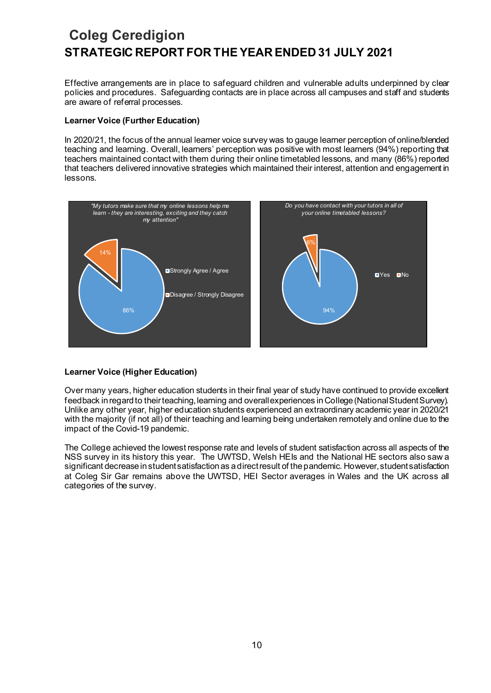Effective arrangements are in place to safeguard children and vulnerable adults underpinned by clear policies and procedures. Safeguarding contacts are in place across all campuses and staff and students are aware of referral processes.

## **Learner Voice (Further Education)**

In 2020/21, the focus of the annual learner voice survey was to gauge learner perception of online/blended teaching and learning. Overall, learners' perception was positive with most learners (94%) reporting that teachers maintained contact with them during their online timetabled lessons, and many (86%) reported that teachers delivered innovative strategies which maintained their interest, attention and engagement in lessons.



## **Learner Voice (Higher Education)**

Over many years, higher education students in their final year of study have continued to provide excellent feedback in regard to their teaching, learning and overall experiences in College (National Student Survey). Unlike any other year, higher education students experienced an extraordinary academic year in 2020/21 with the majority (if not all) of their teaching and learning being undertaken remotely and online due to the impact of the Covid-19 pandemic.

The College achieved the lowest response rate and levels of student satisfaction across all aspects of the NSS survey in its history this year. The UWTSD, Welsh HEIs and the National HE sectors also saw a significant decrease in student satisfaction as a direct result of the pandemic. However, student satisfaction at Coleg Sir Gar remains above the UWTSD, HEI Sector averages in Wales and the UK across all categories of the survey.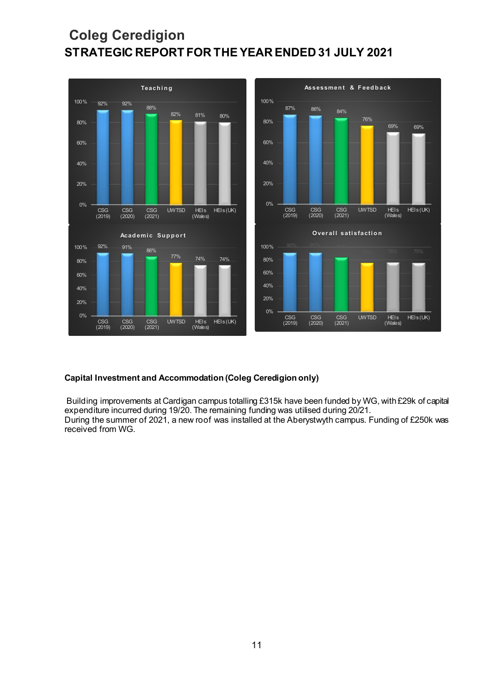

## **Capital Investment and Accommodation (Coleg Ceredigion only)**

Building improvements at Cardigan campus totalling £315k have been funded by WG, with £29k of capital expenditure incurred during 19/20. The remaining funding was utilised during 20/21. During the summer of 2021, a new roof was installed at the Aberystwyth campus. Funding of £250k was received from WG.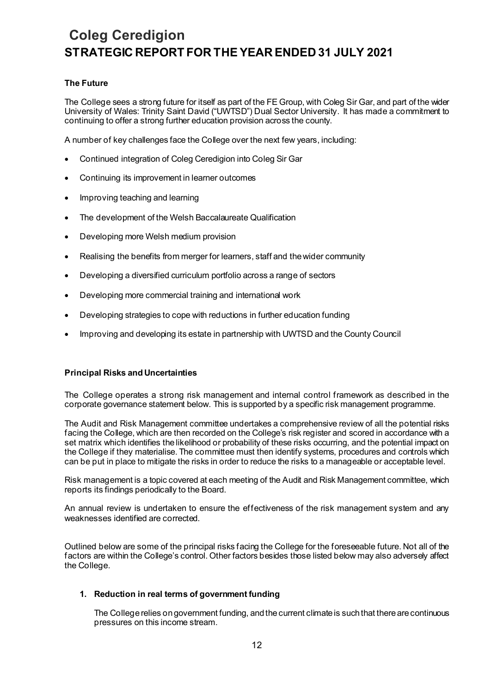## **The Future**

The College sees a strong future for itself as part of the FE Group, with Coleg Sir Gar, and part of the wider University of Wales: Trinity Saint David ("UWTSD") Dual Sector University. It has made a commitment to continuing to offer a strong further education provision across the county.

A number of key challenges face the College over the next few years, including:

- Continued integration of Coleg Ceredigion into Coleg Sir Gar
- Continuing its improvement in learner outcomes
- Improving teaching and learning
- The development of the Welsh Baccalaureate Qualification
- Developing more Welsh medium provision
- Realising the benefits from merger for learners, staff and the wider community
- Developing a diversified curriculum portfolio across a range of sectors
- Developing more commercial training and international work
- Developing strategies to cope with reductions in further education funding
- Improving and developing its estate in partnership with UWTSD and the County Council

## **Principal Risks and Uncertainties**

The College operates a strong risk management and internal control framework as described in the corporate governance statement below. This is supported by a specific risk management programme.

The Audit and Risk Management committee undertakes a comprehensive review of all the potential risks facing the College, which are then recorded on the College's risk register and scored in accordance with a set matrix which identifies the likelihood or probability of these risks occurring, and the potential impact on the College if they materialise. The committee must then identify systems, procedures and controls which can be put in place to mitigate the risks in order to reduce the risks to a manageable or acceptable level.

Risk management is a topic covered at each meeting of the Audit and Risk Management committee, which reports its findings periodically to the Board.

An annual review is undertaken to ensure the effectiveness of the risk management system and any weaknesses identified are corrected.

Outlined below are some of the principal risks facing the College for the foreseeable future. Not all of the factors are within the College's control. Other factors besides those listed below may also adversely affect the College.

## **1. Reduction in real terms of government funding**

The College relies on government funding, and the current climate is such that there are continuous pressures on this income stream.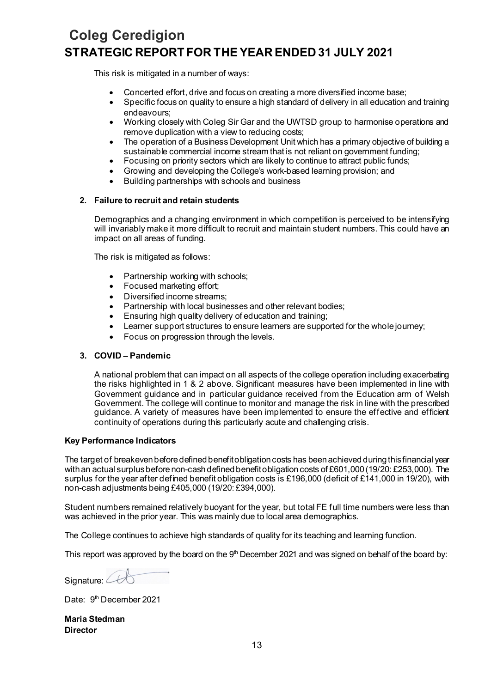This risk is mitigated in a number of ways:

- Concerted effort, drive and focus on creating a more diversified income base;
- Specific focus on quality to ensure a high standard of delivery in all education and training endeavours;
- Working closely with Coleg Sir Gar and the UWTSD group to harmonise operations and remove duplication with a view to reducing costs;
- The operation of a Business Development Unit which has a primary objective of building a sustainable commercial income stream that is not reliant on government funding;
- Focusing on priority sectors which are likely to continue to attract public funds;
- Growing and developing the College's work-based learning provision; and
- Building partnerships with schools and business

### **2. Failure to recruit and retain students**

Demographics and a changing environment in which competition is perceived to be intensifying will invariably make it more difficult to recruit and maintain student numbers. This could have an impact on all areas of funding.

The risk is mitigated as follows:

- Partnership working with schools;
- Focused marketing effort;
- Diversified income streams;
- Partnership with local businesses and other relevant bodies;
- Ensuring high quality delivery of education and training;
- Learner support structures to ensure learners are supported for the whole journey;
- Focus on progression through the levels.

## **3. COVID – Pandemic**

A national problem that can impact on all aspects of the college operation including exacerbating the risks highlighted in 1 & 2 above. Significant measures have been implemented in line with Government guidance and in particular guidance received from the Education arm of Welsh Government. The college will continue to monitor and manage the risk in line with the prescribed guidance. A variety of measures have been implemented to ensure the effective and efficient continuity of operations during this particularly acute and challenging crisis.

#### **Key Performance Indicators**

The target of breakeven before defined benefit obligation costs has been achieved during this financial year with an actual surplusbefore non-cash defined benefit obligation costs of £601,000 (19/20: £253,000). The surplus for the year after defined benefit obligation costs is £196,000 (deficit of £141,000 in 19/20), with non-cash adjustments being £405,000 (19/20: £394,000).

Student numbers remained relatively buoyant for the year, but total FE full time numbers were less than was achieved in the prior year. This was mainly due to local area demographics.

The College continues to achieve high standards of quality for its teaching and learning function.

This report was approved by the board on the  $9<sup>th</sup>$  December 2021 and was signed on behalf of the board by:

Signature:  $44$ 

Date: 9<sup>th</sup> December 2021

**Maria Stedman Director**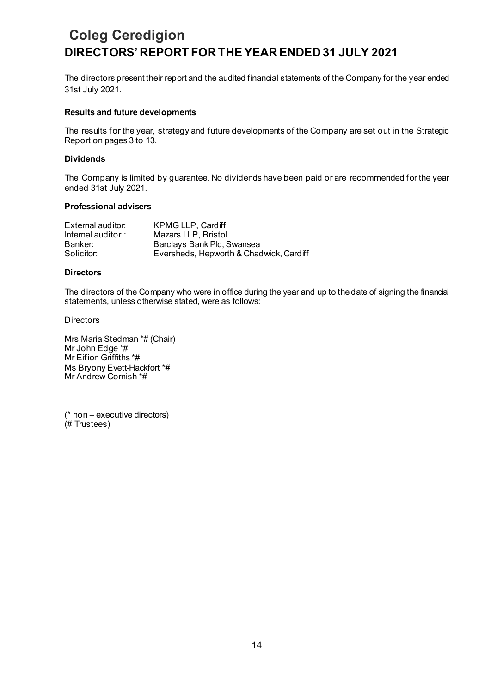The directors present their report and the audited financial statements of the Company for the year ended 31st July 2021.

### **Results and future developments**

The results for the year, strategy and future developments of the Company are set out in the Strategic Report on pages 3 to 13.

### **Dividends**

The Company is limited by guarantee. No dividends have been paid or are recommended for the year ended 31st July 2021.

#### **Professional advisers**

| External auditor:                           | KPMG LLP, Cardiff                       |
|---------------------------------------------|-----------------------------------------|
| Internal auditor : $\overline{\phantom{a}}$ | Mazars LLP, Bristol                     |
| Banker:                                     | Barclays Bank Plc, Swansea              |
| Solicitor:                                  | Eversheds, Hepworth & Chadwick, Cardiff |

### **Directors**

The directors of the Company who were in office during the year and up to the date of signing the financial statements, unless otherwise stated, were as follows:

#### **Directors**

Mrs Maria Stedman \*# (Chair) Mr John Edge \*# Mr Eifion Griffiths \*# Ms Bryony Evett-Hackfort \*# Mr Andrew Cornish \*#

(\* non – executive directors) (# Trustees)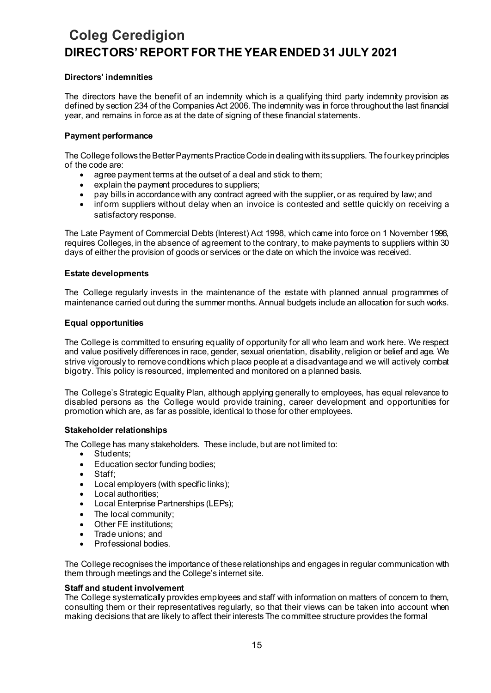## **Directors' indemnities**

The directors have the benefit of an indemnity which is a qualifying third party indemnity provision as defined by section 234 of the Companies Act 2006. The indemnity was in force throughout the last financial year, and remains in force as at the date of signing of these financial statements.

## **Payment performance**

The College follows the Better Payments Practice Code in dealing with its suppliers. The four key principles of the code are:

- agree payment terms at the outset of a deal and stick to them;
- explain the payment procedures to suppliers;
- pay bills in accordance with any contract agreed with the supplier, or as required by law; and
- inform suppliers without delay when an invoice is contested and settle quickly on receiving a satisfactory response.

The Late Payment of Commercial Debts (Interest) Act 1998, which came into force on 1 November 1998, requires Colleges, in the absence of agreement to the contrary, to make payments to suppliers within 30 days of either the provision of goods or services or the date on which the invoice was received.

## **Estate developments**

The College regularly invests in the maintenance of the estate with planned annual programmes of maintenance carried out during the summer months. Annual budgets include an allocation for such works.

## **Equal opportunities**

The College is committed to ensuring equality of opportunity for all who learn and work here. We respect and value positively differences in race, gender, sexual orientation, disability, religion or belief and age. We strive vigorously to remove conditions which place people at a disadvantage and we will actively combat bigotry. This policy is resourced, implemented and monitored on a planned basis.

The College's Strategic Equality Plan, although applying generally to employees, has equal relevance to disabled persons as the College would provide training, career development and opportunities for promotion which are, as far as possible, identical to those for other employees.

## **Stakeholder relationships**

The College has many stakeholders. These include, but are not limited to:

- Students:
- Education sector funding bodies;
- Staff:
- Local employers (with specific links);
- Local authorities:
- Local Enterprise Partnerships (LEPs);
- The local community;
- Other FE institutions;
- Trade unions; and
- Professional bodies.

The College recognises the importance of these relationships and engages in regular communication with them through meetings and the College's internet site.

#### **Staff and student involvement**

The College systematically provides employees and staff with information on matters of concern to them, consulting them or their representatives regularly, so that their views can be taken into account when making decisions that are likely to affect their interests The committee structure provides the formal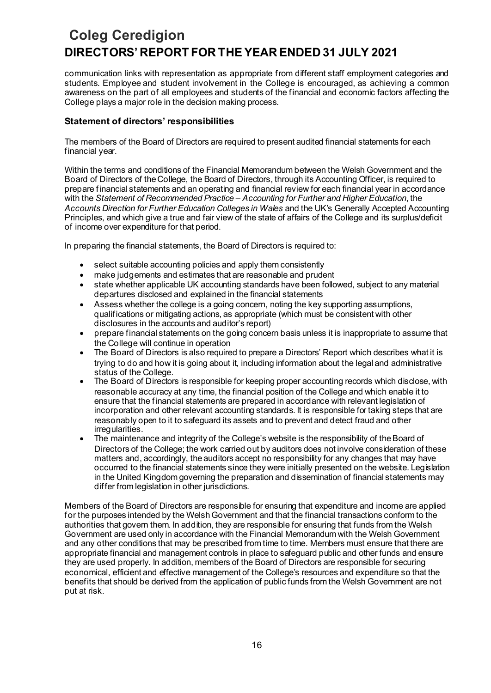communication links with representation as appropriate from different staff employment categories and students. Employee and student involvement in the College is encouraged, as achieving a common awareness on the part of all employees and students of the financial and economic factors affecting the College plays a major role in the decision making process.

## **Statement of directors' responsibilities**

The members of the Board of Directors are required to present audited financial statements for each financial year.

Within the terms and conditions of the Financial Memorandum between the Welsh Government and the Board of Directors of the College, the Board of Directors, through its Accounting Officer, is required to prepare financial statements and an operating and financial review for each financial year in accordance with the *Statement of Recommended Practice – Accounting for Further and Higher Education*, the *Accounts Direction for Further Education Colleges in Wales* and the UK's Generally Accepted Accounting Principles, and which give a true and fair view of the state of affairs of the College and its surplus/deficit of income over expenditure for that period.

In preparing the financial statements, the Board of Directors is required to:

- select suitable accounting policies and apply them consistently
- make judgements and estimates that are reasonable and prudent
- state whether applicable UK accounting standards have been followed, subject to any material departures disclosed and explained in the financial statements
- Assess whether the college is a going concern, noting the key supporting assumptions, qualifications or mitigating actions, as appropriate (which must be consistent with other disclosures in the accounts and auditor's report)
- prepare financial statements on the going concern basis unless it is inappropriate to assume that the College will continue in operation
- The Board of Directors is also required to prepare a Directors' Report which describes what it is trying to do and how it is going about it, including information about the legal and administrative status of the College.
- The Board of Directors is responsible for keeping proper accounting records which disclose, with reasonable accuracy at any time, the financial position of the College and which enable it to ensure that the financial statements are prepared in accordance with relevant legislation of incorporation and other relevant accounting standards. It is responsible for taking steps that are reasonably open to it to safeguard its assets and to prevent and detect fraud and other irregularities.
- The maintenance and integrity of the College's website is the responsibility of the Board of Directors of the College; the work carried out by auditors does not involve consideration of these matters and, accordingly, the auditors accept no responsibility for any changes that may have occurred to the financial statements since they were initially presented on the website. Legislation in the United Kingdom governing the preparation and dissemination of financial statements may differ from legislation in other jurisdictions.

Members of the Board of Directors are responsible for ensuring that expenditure and income are applied for the purposes intended by the Welsh Government and that the financial transactions conform to the authorities that govern them. In addition, they are responsible for ensuring that funds from the Welsh Government are used only in accordance with the Financial Memorandum with the Welsh Government and any other conditions that may be prescribed from time to time. Members must ensure that there are appropriate financial and management controls in place to safeguard public and other funds and ensure they are used properly. In addition, members of the Board of Directors are responsible for securing economical, efficient and effective management of the College's resources and expenditure so that the benefits that should be derived from the application of public funds from the Welsh Government are not put at risk.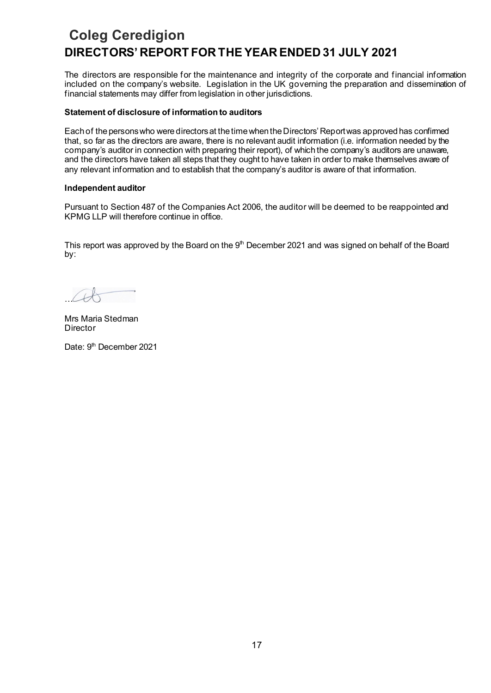The directors are responsible for the maintenance and integrity of the corporate and financial information included on the company's website. Legislation in the UK governing the preparation and dissemination of financial statements may differ from legislation in other jurisdictions.

### **Statement of disclosure of information to auditors**

Each of the persons who were directors at the time when the Directors' Report was approved has confirmed that, so far as the directors are aware, there is no relevant audit information (i.e. information needed by the company's auditor in connection with preparing their report), of which the company's auditors are unaware, and the directors have taken all steps that they ought to have taken in order to make themselves aware of any relevant information and to establish that the company's auditor is aware of that information.

### **Independent auditor**

Pursuant to Section 487 of the Companies Act 2006, the auditor will be deemed to be reappointed and KPMG LLP will therefore continue in office.

This report was approved by the Board on the  $9<sup>th</sup>$  December 2021 and was signed on behalf of the Board by:

…

Mrs Maria Stedman Director

Date: 9<sup>th</sup> December 2021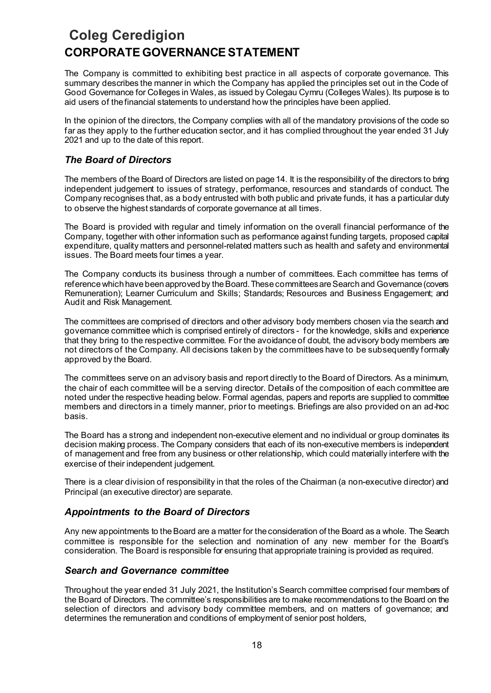## **Coleg Ceredigion CORPORATE GOVERNANCE STATEMENT**

The Company is committed to exhibiting best practice in all aspects of corporate governance. This summary describes the manner in which the Company has applied the principles set out in the Code of Good Governance for Colleges in Wales, as issued by Colegau Cymru (Colleges Wales). Its purpose is to aid users of the financial statements to understand how the principles have been applied.

In the opinion of the directors, the Company complies with all of the mandatory provisions of the code so far as they apply to the further education sector, and it has complied throughout the year ended 31 July 2021 and up to the date of this report.

## *The Board of Directors*

The members of the Board of Directors are listed on page 14. It is the responsibility of the directors to bring independent judgement to issues of strategy, performance, resources and standards of conduct. The Company recognises that, as a body entrusted with both public and private funds, it has a particular duty to observe the highest standards of corporate governance at all times.

The Board is provided with regular and timely information on the overall financial performance of the Company, together with other information such as performance against funding targets, proposed capital expenditure, quality matters and personnel-related matters such as health and safety and environmental issues. The Board meets four times a year.

The Company conducts its business through a number of committees. Each committee has terms of reference which have been approved by the Board. These committees are Search and Governance (covers Remuneration); Learner Curriculum and Skills; Standards; Resources and Business Engagement; and Audit and Risk Management.

The committees are comprised of directors and other advisory body members chosen via the search and governance committee which is comprised entirely of directors - for the knowledge, skills and experience that they bring to the respective committee. For the avoidance of doubt, the advisory body members are not directors of the Company. All decisions taken by the committees have to be subsequently formally approved by the Board.

The committees serve on an advisory basis and report directly to the Board of Directors. As a minimum, the chair of each committee will be a serving director. Details of the composition of each committee are noted under the respective heading below. Formal agendas, papers and reports are supplied to committee members and directors in a timely manner, prior to meetings. Briefings are also provided on an ad-hoc basis.

The Board has a strong and independent non-executive element and no individual or group dominates its decision making process. The Company considers that each of its non-executive members is independent of management and free from any business or other relationship, which could materially interfere with the exercise of their independent judgement.

There is a clear division of responsibility in that the roles of the Chairman (a non-executive director) and Principal (an executive director) are separate.

## *Appointments to the Board of Directors*

Any new appointments to the Board are a matter for the consideration of the Board as a whole. The Search committee is responsible for the selection and nomination of any new member for the Board's consideration. The Board is responsible for ensuring that appropriate training is provided as required.

## *Search and Governance committee*

Throughout the year ended 31 July 2021, the Institution's Search committee comprised four members of the Board of Directors. The committee's responsibilities are to make recommendations to the Board on the selection of directors and advisory body committee members, and on matters of governance; and determines the remuneration and conditions of employment of senior post holders,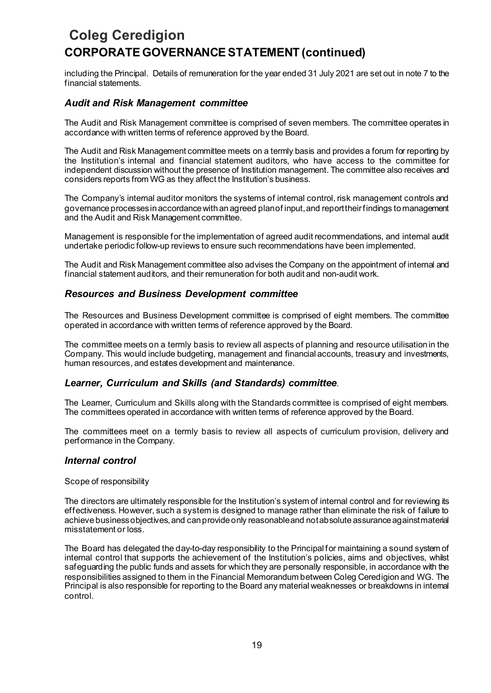# **Coleg Ceredigion CORPORATE GOVERNANCE STATEMENT (continued)**

including the Principal. Details of remuneration for the year ended 31 July 2021 are set out in note 7 to the financial statements.

## *Audit and Risk Management committee*

The Audit and Risk Management committee is comprised of seven members. The committee operates in accordance with written terms of reference approved by the Board.

The Audit and Risk Management committee meets on a termly basis and provides a forum for reporting by the Institution's internal and financial statement auditors, who have access to the committee for independent discussion without the presence of Institution management. The committee also receives and considers reports from WG as they affect the Institution's business.

The Company's internal auditor monitors the systems of internal control, risk management controls and governance processes in accordance with an agreed plan of input, and report their findings to management and the Audit and Risk Management committee.

Management is responsible for the implementation of agreed audit recommendations, and internal audit undertake periodic follow-up reviews to ensure such recommendations have been implemented.

The Audit and Risk Management committee also advises the Company on the appointment of internal and financial statement auditors, and their remuneration for both audit and non-audit work.

## *Resources and Business Development committee*

The Resources and Business Development committee is comprised of eight members. The committee operated in accordance with written terms of reference approved by the Board.

The committee meets on a termly basis to review all aspects of planning and resource utilisation in the Company. This would include budgeting, management and financial accounts, treasury and investments, human resources, and estates development and maintenance.

## *Learner, Curriculum and Skills (and Standards) committee*.

The Learner, Curriculum and Skills along with the Standards committee is comprised of eight members. The committees operated in accordance with written terms of reference approved by the Board.

The committees meet on a termly basis to review all aspects of curriculum provision, delivery and performance in the Company.

## *Internal control*

Scope of responsibility

The directors are ultimately responsible for the Institution's system of internal control and for reviewing its effectiveness. However, such a system is designed to manage rather than eliminate the risk of failure to achieve business objectives, and can provide only reasonable and not absolute assurance against material misstatement or loss.

The Board has delegated the day-to-day responsibility to the Principal for maintaining a sound system of internal control that supports the achievement of the Institution's policies, aims and objectives, whilst safeguarding the public funds and assets for which they are personally responsible, in accordance with the responsibilities assigned to them in the Financial Memorandum between Coleg Ceredigion and WG. The Principal is also responsible for reporting to the Board any material weaknesses or breakdowns in internal control.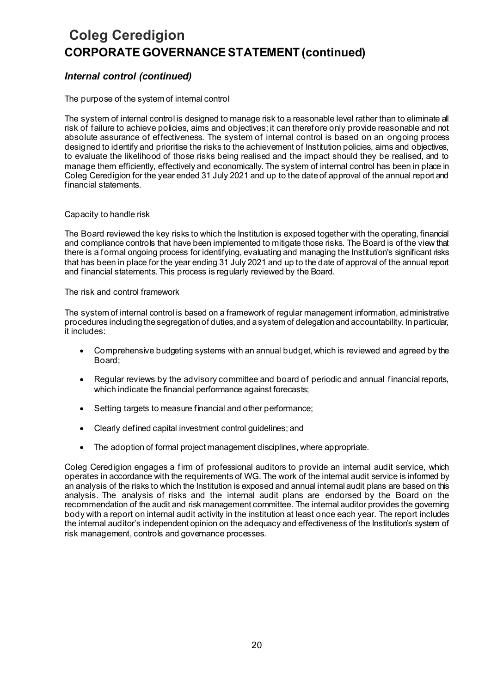# **Coleg Ceredigion CORPORATE GOVERNANCE STATEMENT (continued)**

## *Internal control (continued)*

## The purpose of the system of internal control

The system of internal control is designed to manage risk to a reasonable level rather than to eliminate all risk of failure to achieve policies, aims and objectives; it can therefore only provide reasonable and not absolute assurance of effectiveness. The system of internal control is based on an ongoing process designed to identify and prioritise the risks to the achievement of Institution policies, aims and objectives, to evaluate the likelihood of those risks being realised and the impact should they be realised, and to manage them efficiently, effectively and economically. The system of internal control has been in place in Coleg Ceredigion for the year ended 31 July 2021 and up to the date of approval of the annual report and financial statements.

### Capacity to handle risk

The Board reviewed the key risks to which the Institution is exposed together with the operating, financial and compliance controls that have been implemented to mitigate those risks. The Board is of the view that there is a formal ongoing process for identifying, evaluating and managing the Institution's significant risks that has been in place for the year ending 31 July 2021 and up to the date of approval of the annual report and financial statements. This process is regularly reviewed by the Board.

#### The risk and control framework

The system of internal control is based on a framework of regular management information, administrative procedures including the segregation of duties, and a system of delegation and accountability. In particular, it includes:

- Comprehensive budgeting systems with an annual budget, which is reviewed and agreed by the Board;
- Regular reviews by the advisory committee and board of periodic and annual financial reports, which indicate the financial performance against forecasts;
- Setting targets to measure financial and other performance;
- Clearly defined capital investment control guidelines; and
- The adoption of formal project management disciplines, where appropriate.

Coleg Ceredigion engages a firm of professional auditors to provide an internal audit service, which operates in accordance with the requirements of WG. The work of the internal audit service is informed by an analysis of the risks to which the Institution is exposed and annual internal audit plans are based on this analysis. The analysis of risks and the internal audit plans are endorsed by the Board on the recommendation of the audit and risk management committee. The internal auditor provides the governing body with a report on internal audit activity in the institution at least once each year. The report includes the internal auditor's independent opinion on the adequacy and effectiveness of the Institution's system of risk management, controls and governance processes.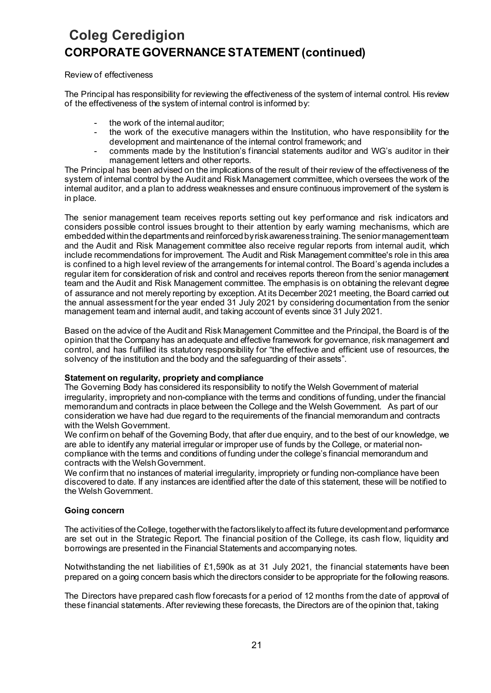# **Coleg Ceredigion CORPORATE GOVERNANCE STATEMENT (continued)**

## Review of effectiveness

The Principal has responsibility for reviewing the effectiveness of the system of internal control. His review of the effectiveness of the system of internal control is informed by:

- the work of the internal auditor;
- the work of the executive managers within the Institution, who have responsibility for the development and maintenance of the internal control framework; and
- comments made by the Institution's financial statements auditor and WG's auditor in their management letters and other reports.

The Principal has been advised on the implications of the result of their review of the effectiveness of the system of internal control by the Audit and Risk Management committee, which oversees the work of the internal auditor, and a plan to address weaknesses and ensure continuous improvement of the system is in place.

The senior management team receives reports setting out key performance and risk indicators and considers possible control issues brought to their attention by early warning mechanisms, which are embedded within the departments and reinforced by risk awareness training. The senior management team and the Audit and Risk Management committee also receive regular reports from internal audit, which include recommendations for improvement. The Audit and Risk Management committee's role in this area is confined to a high level review of the arrangements for internal control. The Board's agenda includes a regular item for consideration of risk and control and receives reports thereon from the senior management team and the Audit and Risk Management committee. The emphasis is on obtaining the relevant degree of assurance and not merely reporting by exception. At its December 2021 meeting, the Board carried out the annual assessment for the year ended 31 July 2021 by considering documentation from the senior management team and internal audit, and taking account of events since 31 July 2021.

Based on the advice of the Audit and Risk Management Committee and the Principal, the Board is of the opinion that the Company has an adequate and effective framework for governance, risk management and control, and has fulfilled its statutory responsibility for "the effective and efficient use of resources, the solvency of the institution and the body and the safeguarding of their assets".

## **Statement on regularity, propriety and compliance**

The Governing Body has considered its responsibility to notify the Welsh Government of material irregularity, impropriety and non-compliance with the terms and conditions of funding, under the financial memorandum and contracts in place between the College and the Welsh Government. As part of our consideration we have had due regard to the requirements of the financial memorandum and contracts with the Welsh Government.

We confirm on behalf of the Governing Body, that after due enquiry, and to the best of our knowledge, we are able to identify any material irregular or improper use of funds by the College, or material noncompliance with the terms and conditions of funding under the college's financial memorandum and contracts with the Welsh Government.

We confirm that no instances of material irregularity, impropriety or funding non-compliance have been discovered to date. If any instances are identified after the date of this statement, these will be notified to the Welsh Government.

## **Going concern**

The activities of the College, together with the factors likely to affect its future development and performance are set out in the Strategic Report. The financial position of the College, its cash flow, liquidity and borrowings are presented in the Financial Statements and accompanying notes.

Notwithstanding the net liabilities of £1,590k as at 31 July 2021, the financial statements have been prepared on a going concern basis which the directors consider to be appropriate for the following reasons.

The Directors have prepared cash flow forecasts for a period of 12 months from the date of approval of these financial statements. After reviewing these forecasts, the Directors are of the opinion that, taking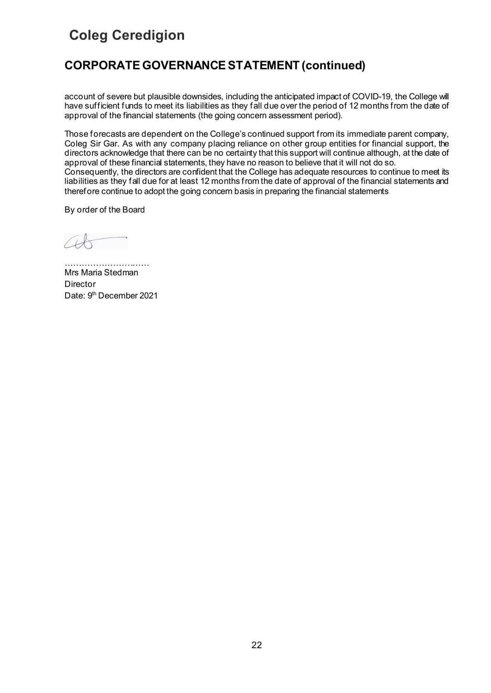## **CORPORATE GOVERNANCE STATEMENT (continued)**

account of severe but plausible downsides, including the anticipated impact of COVID-19, the College will have sufficient funds to meet its liabilities as they fall due over the period of 12 months from the date of approval of the financial statements (the going concern assessment period).

Those forecasts are dependent on the College's continued support from its immediate parent company, Coleg Sir Gar. As with any company placing reliance on other group entities for financial support, the directors acknowledge that there can be no certainty that this support will continue although, at the date of approval of these financial statements, they have no reason to believe that it will not do so. Consequently, the directors are confident that the College has adequate resources to continue to meet its liabilities as they fall due for at least 12 months from the date of approval of the financial statements and therefore continue to adopt the going concern basis in preparing the financial statements

By order of the Board

………………………… Mrs Maria Stedman **Director** Date: 9<sup>th</sup> December 2021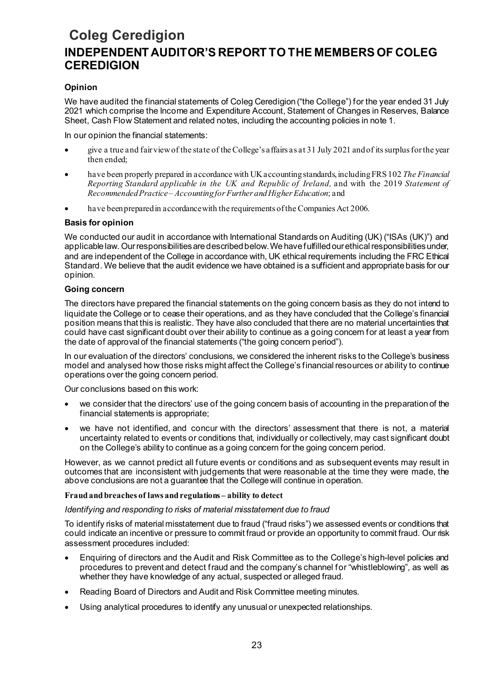## **Coleg Ceredigion INDEPENDENT AUDITOR'S REPORT TO THE MEMBERS OF COLEG CEREDIGION**

## **Opinion**

We have audited the financial statements of Coleg Ceredigion ("the College") for the year ended 31 July 2021 which comprise the Income and Expenditure Account, Statement of Changes in Reserves, Balance Sheet, Cash Flow Statement and related notes, including the accounting policies in note 1.

In our opinion the financial statements:

- give a true and fair view of the state of the College's affairs as at 31 July 2021 and of its surplus for the year then ended;
- have been properly prepared in accordance with UK accounting standards, including FRS 102 *The Financial Reporting Standard applicable in the UK and Republic of Ireland,* and with the 2019 *Statement of Recommended Practice – Accounting for Further and Higher Education*; and
- have been prepared in accordance with the requirements of the Companies Act 2006.

## **Basis for opinion**

We conducted our audit in accordance with International Standards on Auditing (UK) ("ISAs (UK)") and applicable law. Our responsibilitiesare described below. We have fulfilled our ethical responsibilities under, and are independent of the College in accordance with, UK ethical requirements including the FRC Ethical Standard. We believe that the audit evidence we have obtained is a sufficient and appropriate basis for our opinion.

## **Going concern**

The directors have prepared the financial statements on the going concern basis as they do not intend to liquidate the College or to cease their operations, and as they have concluded that the College's financial position means that this is realistic. They have also concluded that there are no material uncertainties that could have cast significant doubt over their ability to continue as a going concern for at least a year from the date of approval of the financial statements ("the going concern period").

In our evaluation of the directors' conclusions, we considered the inherent risks to the College's business model and analysed how those risks might affect the College's financial resources or ability to continue operations over the going concern period.

Our conclusions based on this work:

- we consider that the directors' use of the going concern basis of accounting in the preparation of the financial statements is appropriate;
- we have not identified, and concur with the directors' assessment that there is not, a material uncertainty related to events or conditions that, individually or collectively, may cast significant doubt on the College's ability to continue as a going concern for the going concern period.

However, as we cannot predict all future events or conditions and as subsequent events may result in outcomes that are inconsistent with judgements that were reasonable at the time they were made, the above conclusions are not a guarantee that the College will continue in operation.

## **Fraud and breaches of laws and regulations – ability to detect**

## *Identifying and responding to risks of material misstatement due to fraud*

To identify risks of material misstatement due to fraud ("fraud risks") we assessed events or conditions that could indicate an incentive or pressure to commit fraud or provide an opportunity to commit fraud. Our risk assessment procedures included:

- Enquiring of directors and the Audit and Risk Committee as to the College's high-level policies and procedures to prevent and detect fraud and the company's channel for "whistleblowing", as well as whether they have knowledge of any actual, suspected or alleged fraud.
- Reading Board of Directors and Audit and Risk Committee meeting minutes.
- Using analytical procedures to identify any unusual or unexpected relationships.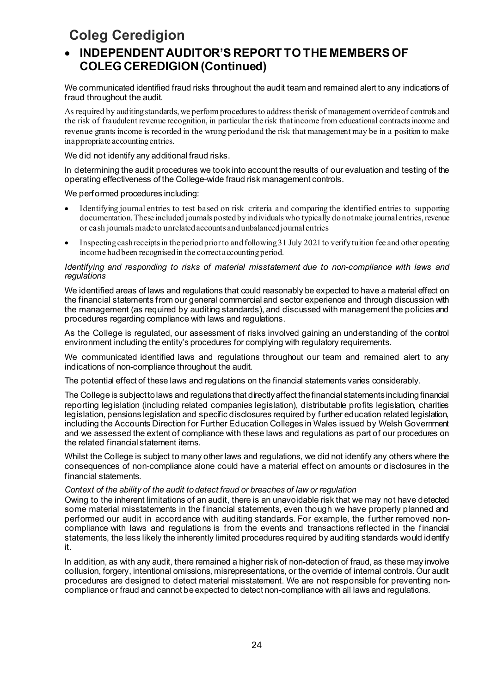## • **INDEPENDENT AUDITOR'S REPORT TO THE MEMBERS OF COLEG CEREDIGION (Continued)**

We communicated identified fraud risks throughout the audit team and remained alert to any indications of fraud throughout the audit.

As required by auditing standards, we perform procedures to address the risk of management override of controls and the risk of fraudulent revenue recognition, in particular the risk thatincome from educational contracts income and revenue grants income is recorded in the wrong periodand the risk that management may be in a position to make inappropriate accounting entries.

We did not identify any additional fraud risks.

In determining the audit procedures we took into account the results of our evaluation and testing of the operating effectiveness of the College-wide fraud risk management controls.

We performed procedures including:

- Identifying journal entries to test based on risk criteria and comparing the identified entries to supporting documentation. These included journals posted by individuals who typically do not make journal entries, revenue or cash journals made to unrelated accounts and unbalanced journal entries
- Inspecting cash receipts in the period prior to and following 31 July 2021 to verify tuition fee and other operating income had been recognised in the correct accounting period.

## *Identifying and responding to risks of material misstatement due to non-compliance with laws and regulations*

We identified areas of laws and regulations that could reasonably be expected to have a material effect on the financial statements from our general commercial and sector experience and through discussion with the management (as required by auditing standards), and discussed with management the policies and procedures regarding compliance with laws and regulations.

As the College is regulated, our assessment of risks involved gaining an understanding of the control environment including the entity's procedures for complying with regulatory requirements.

We communicated identified laws and regulations throughout our team and remained alert to any indications of non-compliance throughout the audit.

The potential effect of these laws and regulations on the financial statements varies considerably.

The College is subject to laws and regulations that directly affect the financial statements including financial reporting legislation (including related companies legislation), distributable profits legislation, charities legislation, pensions legislation and specific disclosures required by further education related legislation, including the Accounts Direction for Further Education Colleges in Wales issued by Welsh Government and we assessed the extent of compliance with these laws and regulations as part of our procedures on the related financial statement items.

Whilst the College is subject to many other laws and regulations, we did not identify any others where the consequences of non-compliance alone could have a material effect on amounts or disclosures in the financial statements.

## *Context of the ability of the audit to detect fraud or breaches of law or regulation*

Owing to the inherent limitations of an audit, there is an unavoidable risk that we may not have detected some material misstatements in the financial statements, even though we have properly planned and performed our audit in accordance with auditing standards. For example, the further removed noncompliance with laws and regulations is from the events and transactions reflected in the financial statements, the less likely the inherently limited procedures required by auditing standards would identify it.

In addition, as with any audit, there remained a higher risk of non-detection of fraud, as these may involve collusion, forgery, intentional omissions, misrepresentations, or the override of internal controls. Our audit procedures are designed to detect material misstatement. We are not responsible for preventing noncompliance or fraud and cannot be expected to detect non-compliance with all laws and regulations.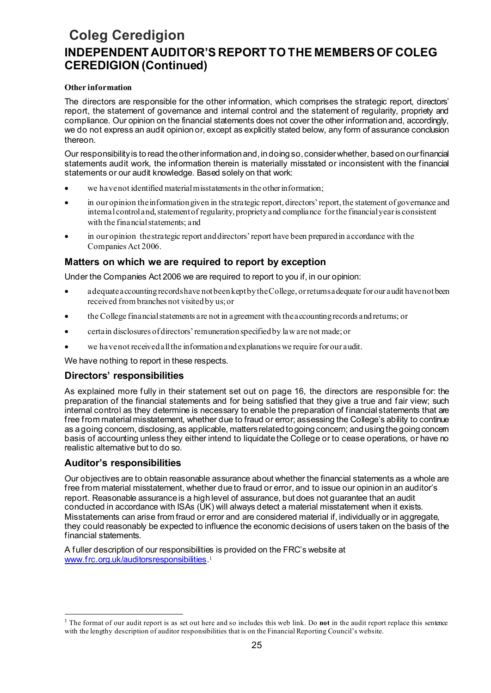## **Coleg Ceredigion INDEPENDENT AUDITOR'S REPORT TO THE MEMBERS OF COLEG CEREDIGION (Continued)**

## **Other information**

The directors are responsible for the other information, which comprises the strategic report, directors' report, the statement of governance and internal control and the statement of regularity, propriety and compliance. Our opinion on the financial statements does not cover the other information and, accordingly, we do not express an audit opinion or, except as explicitly stated below, any form of assurance conclusion thereon.

Our responsibility is to read the other information and, in doing so, consider whether, based on our financial statements audit work, the information therein is materially misstated or inconsistent with the financial statements or our audit knowledge. Based solely on that work:

- we have not identified material misstatements in the other information;
- in our opinion the information given in the strategic report, directors' report, the statement of governance and internal controland, statement of regularity, propriety and compliance forthe financial year is consistent with the financial statements; and
- in our opinion the strategic report and directors' report have been prepared in accordance with the Companies Act 2006.

## **Matters on which we are required to report by exception**

Under the Companies Act 2006 we are required to report to you if, in our opinion:

- adequate accounting records have not been kept by the College, or returns adequate for our audit have not been received from branches not visited by us; or
- the College financial statements are not in agreement with the accounting records and returns; or
- certain disclosures of directors' remuneration specified by law are not made; or
- we have not received all the information and explanations we require for our audit.

We have nothing to report in these respects.

## **Directors' responsibilities**

As explained more fully in their statement set out on page 16, the directors are responsible for: the preparation of the financial statements and for being satisfied that they give a true and fair view; such internal control as they determine is necessary to enable the preparation of financial statements that are free from material misstatement, whether due to fraud or error; assessing the College's ability to continue as a going concern, disclosing, as applicable, matters related to going concern; and using the going concern basis of accounting unless they either intend to liquidate the College or to cease operations, or have no realistic alternative but to do so.

## **Auditor's responsibilities**

Our objectives are to obtain reasonable assurance about whether the financial statements as a whole are free from material misstatement, whether due to fraud or error, and to issue our opinion in an auditor's report. Reasonable assurance is a high level of assurance, but does not guarantee that an audit conducted in accordance with ISAs (UK) will always detect a material misstatement when it exists. Misstatements can arise from fraud or error and are considered material if, individually or in aggregate, they could reasonably be expected to influence the economic decisions of users taken on the basis of the financial statements.

A fuller description of our responsibilities is provided on the FRC's website at www.frc.org.uk/auditorsresponsibilities. [1](#page-25-0)

<span id="page-25-0"></span><sup>1</sup> The format of our audit report is as set out here and so includes this web link. Do **not** in the audit report replace this sentence with the lengthy description of auditor responsibilities that is on the Financial Reporting Council's website.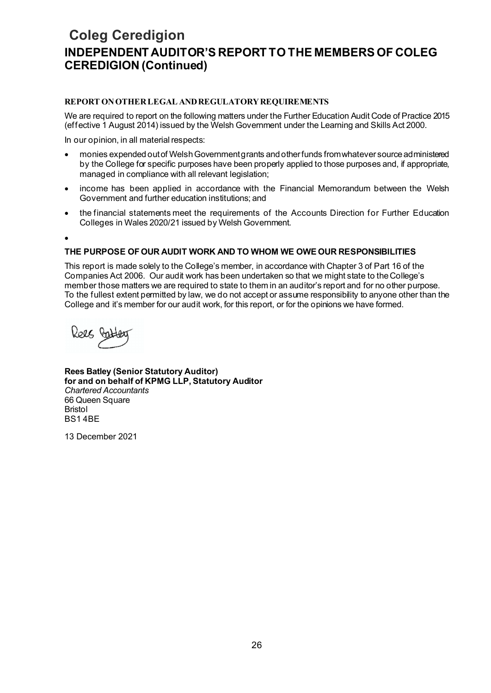## **Coleg Ceredigion INDEPENDENT AUDITOR'S REPORT TO THE MEMBERS OF COLEG CEREDIGION (Continued)**

## **REPORT ON OTHER LEGAL AND REGULATORY REQUIREMENTS**

We are required to report on the following matters under the Further Education Audit Code of Practice 2015 (effective 1 August 2014) issued by the Welsh Government under the Learning and Skills Act 2000.

In our opinion, in all material respects:

- monies expended out of Welsh Government grants and other funds from whatever source administered by the College for specific purposes have been properly applied to those purposes and, if appropriate, managed in compliance with all relevant legislation;
- income has been applied in accordance with the Financial Memorandum between the Welsh Government and further education institutions; and
- the financial statements meet the requirements of the Accounts Direction for Further Education Colleges in Wales 2020/21 issued by Welsh Government.

•

## **THE PURPOSE OF OUR AUDIT WORK AND TO WHOM WE OWE OUR RESPONSIBILITIES**

This report is made solely to the College's member, in accordance with Chapter 3 of Part 16 of the Companies Act 2006. Our audit work has been undertaken so that we might state to theCollege's member those matters we are required to state to them in an auditor's report and for no other purpose. To the fullest extent permitted by law, we do not accept or assume responsibility to anyone other than the College and it's member for our audit work, for this report, or for the opinions we have formed.

Relt Co

**Rees Batley (Senior Statutory Auditor) for and on behalf of KPMG LLP, Statutory Auditor**  *Chartered Accountants*  66 Queen Square Bristol BS1 4BE

13 December 2021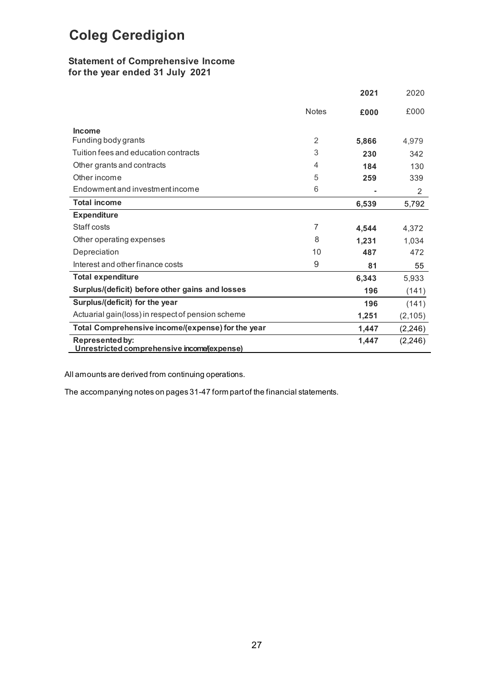## **Statement of Comprehensive Income for the year ended 31 July 2021**

|                                                                       |                | 2021  | 2020     |
|-----------------------------------------------------------------------|----------------|-------|----------|
|                                                                       | <b>Notes</b>   | £000  | £000     |
| <b>Income</b>                                                         |                |       |          |
| Funding body grants                                                   | $\overline{2}$ | 5,866 | 4.979    |
| Tuition fees and education contracts                                  | 3              | 230   | 342      |
| Other grants and contracts                                            | 4              | 184   | 130      |
| Other income                                                          | 5              | 259   | 339      |
| Endowment and investment income                                       | 6              |       | 2        |
| <b>Total income</b>                                                   |                | 6,539 | 5,792    |
| <b>Expenditure</b>                                                    |                |       |          |
| Staff costs                                                           | $\overline{7}$ | 4,544 | 4,372    |
| Other operating expenses                                              | 8              | 1.231 | 1,034    |
| Depreciation                                                          | 10             | 487   | 472      |
| Interest and other finance costs                                      | 9              | 81    | 55       |
| <b>Total expenditure</b>                                              |                | 6,343 | 5,933    |
| Surplus/(deficit) before other gains and losses                       |                | 196   | (141)    |
| Surplus/(deficit) for the year                                        |                | 196   | (141)    |
| Actuarial gain(loss) in respect of pension scheme                     |                | 1,251 | (2, 105) |
| Total Comprehensive income/(expense) for the year                     |                | 1,447 | (2, 246) |
| <b>Represented by:</b><br>Unrestricted comprehensive income (expense) |                | 1,447 | (2, 246) |

All amounts are derived from continuing operations.

The accompanying notes on pages 31-47 form part of the financial statements.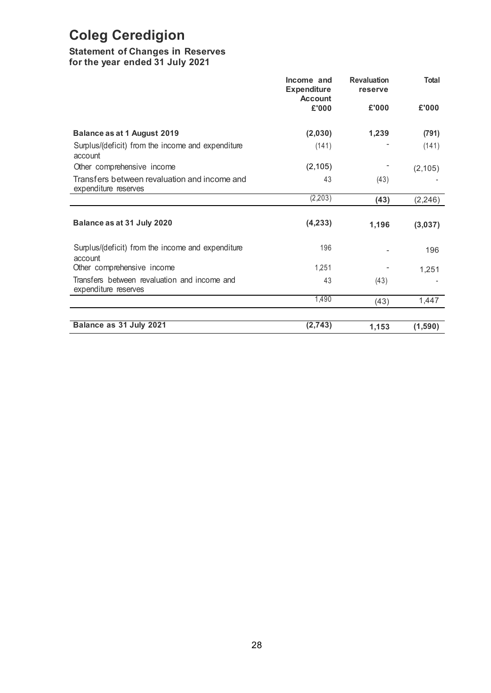## **Statement of Changes in Reserves**

**for the year ended 31 July 2021**

|                                                                      | Income and<br><b>Expenditure</b><br><b>Account</b> |       | <b>Total</b> |
|----------------------------------------------------------------------|----------------------------------------------------|-------|--------------|
|                                                                      | £'000                                              | £'000 | £'000        |
| Balance as at 1 August 2019                                          | (2,030)                                            | 1,239 | (791)        |
| Surplus/(deficit) from the income and expenditure<br>account         | (141)                                              |       | (141)        |
| Other comprehensive income                                           | (2, 105)                                           |       | (2, 105)     |
| Transfers between revaluation and income and<br>expenditure reserves | 43                                                 | (43)  |              |
|                                                                      | (2,203)                                            | (43)  | (2, 246)     |
| Balance as at 31 July 2020                                           | (4, 233)                                           | 1,196 | (3,037)      |
| Surplus/(deficit) from the income and expenditure<br>account         | 196                                                |       | 196          |
| Other comprehensive income                                           | 1,251                                              |       | 1,251        |
| Transfers between revaluation and income and<br>expenditure reserves | 43                                                 | (43)  |              |
|                                                                      | 1,490                                              | (43)  | 1,447        |
|                                                                      |                                                    |       |              |
| Balance as 31 July 2021                                              | (2,743)                                            | 1,153 | (1,590)      |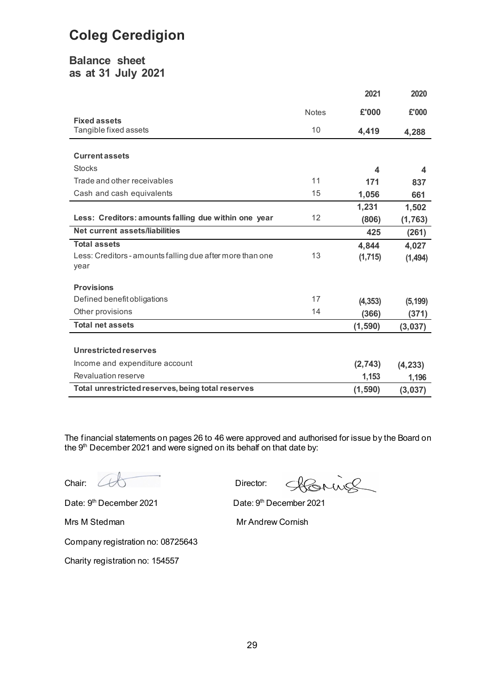## **Balance sheet as at 31 July 2021**

|                                                                   |              | 2021             | 2020     |
|-------------------------------------------------------------------|--------------|------------------|----------|
|                                                                   | <b>Notes</b> | £'000            | £'000    |
| <b>Fixed assets</b><br>Tangible fixed assets                      | 10           | 4,419            | 4,288    |
|                                                                   |              |                  |          |
| <b>Current assets</b>                                             |              |                  |          |
| <b>Stocks</b>                                                     |              | $\boldsymbol{4}$ | 4        |
| Trade and other receivables                                       | 11           | 171              | 837      |
| Cash and cash equivalents                                         | 15           | 1,056            | 661      |
|                                                                   |              | 1,231            | 1,502    |
| Less: Creditors: amounts falling due within one year              | 12           | (806)            | (1, 763) |
| Net current assets/liabilities                                    |              | 425              | (261)    |
| <b>Total assets</b>                                               |              | 4,844            | 4,027    |
| Less: Creditors - amounts falling due after more than one<br>year | 13           | (1,715)          | (1,494)  |
| <b>Provisions</b>                                                 |              |                  |          |
| Defined benefit obligations                                       | 17           | (4, 353)         | (5, 199) |
| Other provisions                                                  | 14           | (366)            | (371)    |
| <b>Total net assets</b>                                           |              | (1, 590)         | (3,037)  |
|                                                                   |              |                  |          |
| <b>Unrestricted reserves</b>                                      |              |                  |          |
| Income and expenditure account                                    |              | (2,743)          | (4, 233) |
| Revaluation reserve                                               |              | 1,153            | 1,196    |
| Total unrestricted reserves, being total reserves                 |              | (1, 590)         | (3,037)  |

The financial statements on pages 26 to 46 were approved and authorised for issue by the Board on the 9<sup>th</sup> December 2021 and were signed on its behalf on that date by:

Chair: CCC Director:

Hornie

Date: 9<sup>th</sup> December 2021 Date: 9<sup>th</sup> December 2021

Mrs M Stedman Mr Andrew Cornish

Company registration no: 08725643

Charity registration no: 154557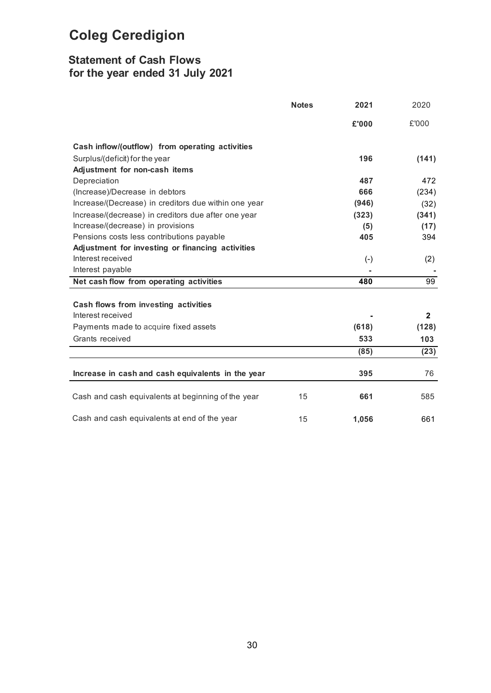## **Statement of Cash Flows for the year ended 31 July 2021**

|                                                      | <b>Notes</b> | 2021         | 2020         |
|------------------------------------------------------|--------------|--------------|--------------|
|                                                      |              | £'000        | £'000        |
| Cash inflow/(outflow) from operating activities      |              |              |              |
| Surplus/(deficit) for the year                       |              | 196          | (141)        |
| Adjustment for non-cash items                        |              |              |              |
| Depreciation                                         |              | 487          | 472          |
| (Increase)/Decrease in debtors                       |              | 666          | (234)        |
| Increase/(Decrease) in creditors due within one year |              | (946)        | (32)         |
| Increase/(decrease) in creditors due after one year  |              | (323)        | (341)        |
| Increase/(decrease) in provisions                    |              | (5)          | (17)         |
| Pensions costs less contributions payable            |              | 405          | 394          |
| Adjustment for investing or financing activities     |              |              |              |
| Interest received                                    |              | $(\text{-})$ | (2)          |
| Interest payable                                     |              |              |              |
| Net cash flow from operating activities              |              | 480          | 99           |
|                                                      |              |              |              |
| Cash flows from investing activities                 |              |              |              |
| Interest received                                    |              |              | $\mathbf{2}$ |
| Payments made to acquire fixed assets                |              | (618)        | (128)        |
| Grants received                                      |              | 533          | 103          |
|                                                      |              | (85)         | (23)         |
|                                                      |              |              |              |
| Increase in cash and cash equivalents in the year    |              | 395          | 76           |
| Cash and cash equivalents at beginning of the year   | 15           | 661          | 585          |
| Cash and cash equivalents at end of the year         | 15           | 1,056        | 661          |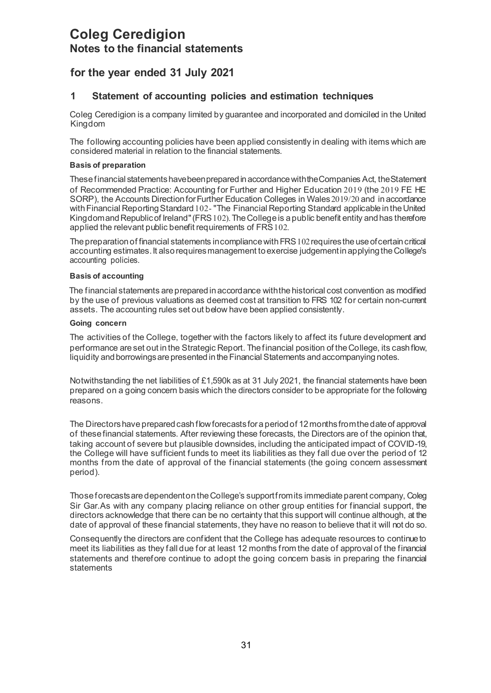## <span id="page-31-0"></span>**Coleg Ceredigion Notes to the financial statements**

## **for the year ended 31 July 2021**

## **1 Statement of accounting policies and estimation techniques**

Coleg Ceredigion is a company limited by guarantee and incorporated and domiciled in the United Kingdom

The following accounting policies have been applied consistently in dealing with items which are considered material in relation to the financial statements.

### **Basis of preparation**

These financial statements have been prepared in accordance with the Companies Act, the Statement of Recommended Practice: Accounting for Further and Higher Education 2019 (the 2019 FE HE SORP), the Accounts Direction for Further Education Colleges in Wales 2019/20 and in accordance with Financial Reporting Standard 102- "The Financial Reporting Standard applicable in the United Kingdom and Republic of Ireland" (FRS 102). The College is a public benefit entity and has therefore applied the relevant public benefit requirements of FRS102.

The preparation of financial statements incompliance with FRS 102 requires the use of certain critical accounting estimates. It also requires management to exercise judgement in applying the College's accounting policies.

## **Basis of accounting**

The financial statements are prepared in accordance with the historical cost convention as modified by the use of previous valuations as deemed cost at transition to FRS 102 for certain non-current assets. The accounting rules set out below have been applied consistently.

### **Going concern**

The activities of the College, together with the factors likely to affect its future development and performance areset out inthe Strategic Report. Thefinancial position of theCollege, its cashflow, liquidity and borrowings are presented in the Financial Statements and accompanying notes.

Notwithstanding the net liabilities of £1,590k as at 31 July 2021, the financial statements have been prepared on a going concern basis which the directors consider to be appropriate for the following reasons.

The Directors have prepared cash flow forecasts for a period of 12 months from the date of approval of these financial statements. After reviewing these forecasts, the Directors are of the opinion that, taking account of severe but plausible downsides, including the anticipated impact of COVID-19, the College will have sufficient funds to meet its liabilities as they fall due over the period of 12 months from the date of approval of the financial statements (the going concern assessment period).

Those forecasts are dependent on the College's support from its immediate parent company, Coleg Sir Gar.As with any company placing reliance on other group entities for financial support, the directors acknowledge that there can be no certainty that this support will continue although, at the date of approval of these financial statements, they have no reason to believe that it will not do so.

Consequently the directors are confident that the College has adequate resources to continue to meet its liabilities as they fall due for at least 12 months from the date of approval of the financial statements and therefore continue to adopt the going concern basis in preparing the financial statements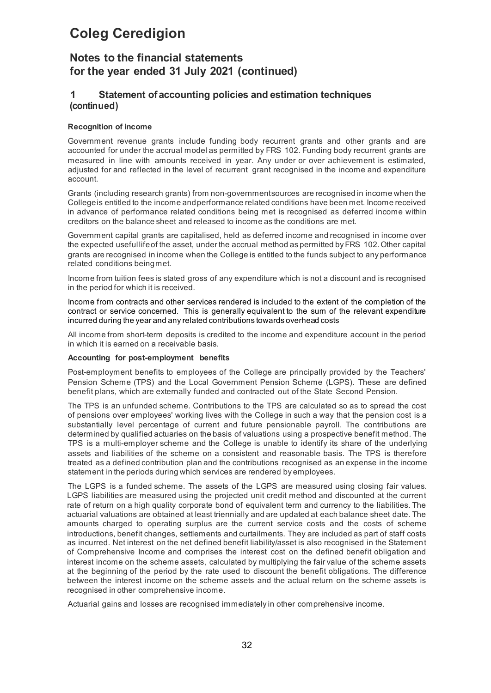## **Notes to the financial statements for the year ended 31 July 2021 (continued)**

## **1 Statement ofaccounting policies and estimation techniques (continued)**

### **Recognition of income**

Government revenue grants include funding body recurrent grants and other grants and are accounted for under the accrual model as permitted by FRS 102. Funding body recurrent grants are measured in line with amounts received in year. Any under or over achievement is estimated, adjusted for and reflected in the level of recurrent grant recognised in the income and expenditure account.

Grants (including research grants) from non-governmentsources are recognised in income when the Collegeis entitled to the income andperformance related conditions have been met. Income received in advance of performance related conditions being met is recognised as deferred income within creditors on the balance sheet and released to income as the conditions are met.

Government capital grants are capitalised, held as deferred income and recognised in income over the expected useful lifeof the asset, under the accrual method as permitted by FRS 102.Other capital grants are recognised in income when the College is entitled to the funds subject to any performance related conditions beingmet.

Income from tuition fees is stated gross of any expenditure which is not a discount and is recognised in the period for which it is received.

Income from contracts and other services rendered is included to the extent of the completion of the contract or service concerned. This is generally equivalent to the sum of the relevant expenditure incurred during the year and any related contributions towards overhead costs

All income from short-term deposits is credited to the income and expenditure account in the period in which it is earned on a receivable basis.

#### **Accounting for post-employment benefits**

Post-employment benefits to employees of the College are principally provided by the Teachers' Pension Scheme (TPS) and the Local Government Pension Scheme (LGPS). These are defined benefit plans, which are externally funded and contracted out of the State Second Pension.

The TPS is an unfunded scheme. Contributions to the TPS are calculated so as to spread the cost of pensions over employees' working lives with the College in such a way that the pension cost is a substantially level percentage of current and future pensionable payroll. The contributions are determined by qualified actuaries on the basis of valuations using a prospective benefit method. The TPS is a multi-employer scheme and the College is unable to identify its share of the underlying assets and liabilities of the scheme on a consistent and reasonable basis. The TPS is therefore treated as a defined contribution plan and the contributions recognised as an expense in the income statement in the periods during which services are rendered by employees.

The LGPS is a funded scheme. The assets of the LGPS are measured using closing fair values. LGPS liabilities are measured using the projected unit credit method and discounted at the current rate of return on a high quality corporate bond of equivalent term and currency to the liabilities. The actuarial valuations are obtained at least triennially and are updated at each balance sheet date. The amounts charged to operating surplus are the current service costs and the costs of scheme introductions, benefit changes, settlements and curtailments. They are included as part of staff costs as incurred. Net interest on the net defined benefit liability/asset is also recognised in the Statement of Comprehensive Income and comprises the interest cost on the defined benefit obligation and interest income on the scheme assets, calculated by multiplying the fair value of the scheme assets at the beginning of the period by the rate used to discount the benefit obligations. The difference between the interest income on the scheme assets and the actual return on the scheme assets is recognised in other comprehensive income.

Actuarial gains and losses are recognised immediately in other comprehensive income.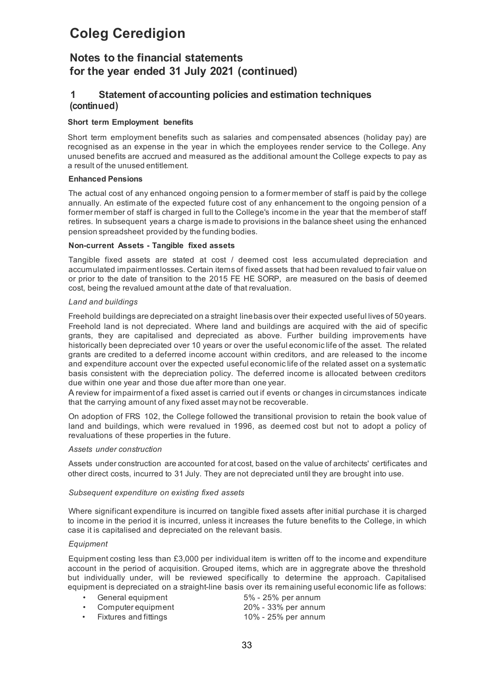## **Notes to the financial statements for the year ended 31 July 2021 (continued)**

## **1 Statement ofaccounting policies and estimation techniques (continued)**

## **Short term Employment benefits**

Short term employment benefits such as salaries and compensated absences (holiday pay) are recognised as an expense in the year in which the employees render service to the College. Any unused benefits are accrued and measured as the additional amount the College expects to pay as a result of the unused entitlement.

### **Enhanced Pensions**

The actual cost of any enhanced ongoing pension to a former member of staff is paid by the college annually. An estimate of the expected future cost of any enhancement to the ongoing pension of a former member of staff is charged in full to the College's income in the year that the member of staff retires. In subsequent years a charge is made to provisions in the balance sheet using the enhanced pension spreadsheet provided by the funding bodies.

### **Non-current Assets - Tangible fixed assets**

Tangible fixed assets are stated at cost / deemed cost less accumulated depreciation and accumulated impairment losses. Certain items of fixed assets that had been revalued to fair value on or prior to the date of transition to the 2015 FE HE SORP, are measured on the basis of deemed cost, being the revalued amount at the date of that revaluation.

### *Land and buildings*

Freehold buildings are depreciated on a straight linebasis over their expected useful lives of 50years. Freehold land is not depreciated. Where land and buildings are acquired with the aid of specific grants, they are capitalised and depreciated as above. Further building improvements have historically been depreciated over 10 years or over the useful economic life of the asset. The related grants are credited to a deferred income account within creditors, and are released to the income and expenditure account over the expected useful economic life of the related asset on a systematic basis consistent with the depreciation policy. The deferred income is allocated between creditors due within one year and those due after more than one year.

A review for impairment of a fixed asset is carried out if events or changes in circumstances indicate that the carrying amount of any fixed asset may not be recoverable.

On adoption of FRS 102, the College followed the transitional provision to retain the book value of land and buildings, which were revalued in 1996, as deemed cost but not to adopt a policy of revaluations of these properties in the future.

## *Assets under construction*

Assets under construction are accounted for at cost, based on the value of architects' certificates and other direct costs, incurred to 31 July. They are not depreciated until they are brought into use.

## *Subsequent expenditure on existing fixed assets*

Where significant expenditure is incurred on tangible fixed assets after initial purchase it is charged to income in the period it is incurred, unless it increases the future benefits to the College, in which case it is capitalised and depreciated on the relevant basis.

#### *Equipment*

Equipment costing less than £3,000 per individual item is written off to the income and expenditure account in the period of acquisition. Grouped items, which are in aggregrate above the threshold but individually under, will be reviewed specifically to determine the approach. Capitalised equipment is depreciated on a straight-line basis over its remaining useful economic life as follows:

- General equipment 5% 25% per annum
	-
- 
- Computer equipment 20% 33% per annum • Fixtures and fittings 10% - 25% per annum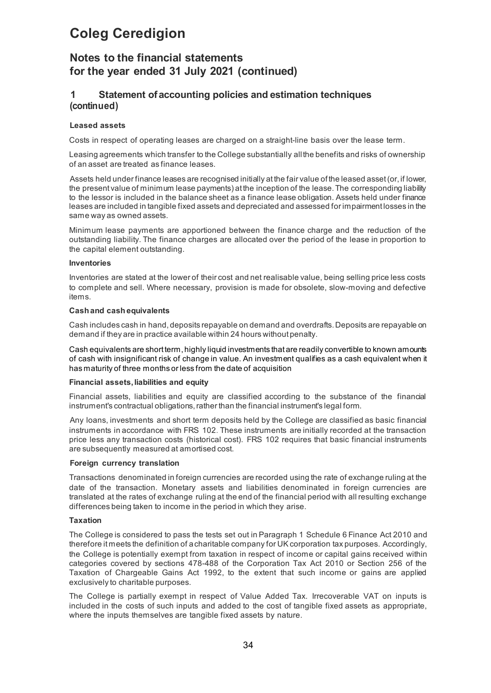## **Notes to the financial statements for the year ended 31 July 2021 (continued)**

## **1 Statement ofaccounting policies and estimation techniques (continued)**

### **Leased assets**

Costs in respect of operating leases are charged on a straight-line basis over the lease term.

Leasing agreements which transfer to the College substantially allthe benefits and risks of ownership of an asset are treated as finance leases.

Assets held under finance leases are recognised initially at the fair value of the leased asset (or, if lower, the present value of minimum lease payments) at the inception of the lease. The corresponding liability to the lessor is included in the balance sheet as a finance lease obligation. Assets held under finance leases are included in tangible fixed assets and depreciated and assessed for impairment losses in the same way as owned assets.

Minimum lease payments are apportioned between the finance charge and the reduction of the outstanding liability. The finance charges are allocated over the period of the lease in proportion to the capital element outstanding.

#### **Inventories**

Inventories are stated at the lower of their cost and net realisable value, being selling price less costs to complete and sell. Where necessary, provision is made for obsolete, slow-moving and defective items.

#### **Cash and cash equivalents**

Cash includes cash in hand, deposits repayable on demand and overdrafts. Deposits are repayable on demand if they are in practice available within 24 hours without penalty.

Cash equivalents are short term, highly liquid investments that are readily convertible to known amounts of cash with insignificant risk of change in value. An investment qualifies as a cash equivalent when it has maturity of three months or less from the date of acquisition

#### **Financial assets, liabilities and equity**

Financial assets, liabilities and equity are classified according to the substance of the financial instrument's contractual obligations, rather than the financial instrument's legal form.

Any loans, investments and short term deposits held by the College are classified as basic financial instruments in accordance with FRS 102. These instruments are initially recorded at the transaction price less any transaction costs (historical cost). FRS 102 requires that basic financial instruments are subsequently measured at amortised cost.

#### **Foreign currency translation**

Transactions denominated in foreign currencies are recorded using the rate of exchange ruling at the date of the transaction. Monetary assets and liabilities denominated in foreign currencies are translated at the rates of exchange ruling at the end of the financial period with all resulting exchange differences being taken to income in the period in which they arise.

#### **Taxation**

The College is considered to pass the tests set out in Paragraph 1 Schedule 6 Finance Act 2010 and therefore it meets the definition of acharitable company for UK corporation tax purposes. Accordingly, the College is potentially exempt from taxation in respect of income or capital gains received within categories covered by sections 478-488 of the Corporation Tax Act 2010 or Section 256 of the Taxation of Chargeable Gains Act 1992, to the extent that such income or gains are applied exclusively to charitable purposes.

The College is partially exempt in respect of Value Added Tax. Irrecoverable VAT on inputs is included in the costs of such inputs and added to the cost of tangible fixed assets as appropriate, where the inputs themselves are tangible fixed assets by nature.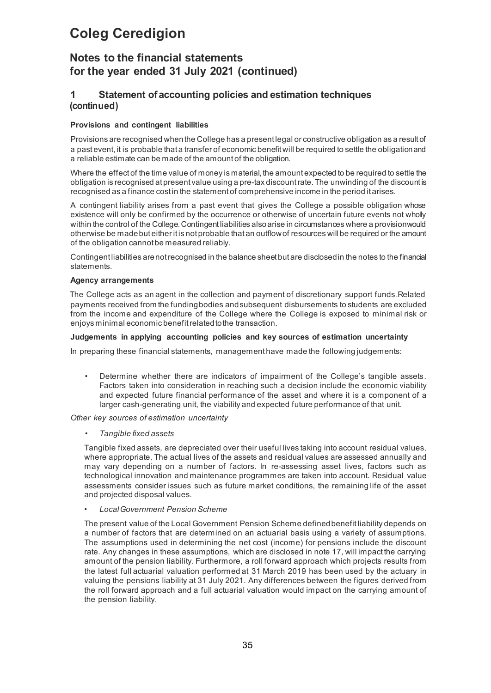## **Notes to the financial statements for the year ended 31 July 2021 (continued)**

## **1 Statement ofaccounting policies and estimation techniques (continued)**

## **Provisions and contingent liabilities**

Provisions are recognised when the College has a present legal or constructive obligation as a result of a past event, it is probable that a transfer of economic benefit will be required to settle the obligation and a reliable estimate can be made of the amount of the obligation.

Where the effect of the time value of money is material, the amount expected to be required to settle the obligation is recognised at present value using a pre-tax discount rate. The unwinding of the discount is recognised as a finance cost in the statement of comprehensive income in the period it arises.

A contingent liability arises from a past event that gives the College a possible obligation whose existence will only be confirmed by the occurrence or otherwise of uncertain future events not wholly within the control of the College. Contingent liabilities also arise in circumstances where a provision would otherwise be made but either it is not probable that an outflow of resources will be required or the amount of the obligation cannot be measured reliably.

Contingent liabilities are not recognised in the balance sheet but are disclosed in the notes to the financial statements.

### **Agency arrangements**

The College acts as an agent in the collection and payment of discretionary support funds.Related payments received from the fundingbodies andsubsequent disbursements to students are excluded from the income and expenditure of the College where the College is exposed to minimal risk or enjoys minimal economic benefit related to the transaction.

### **Judgements in applying accounting policies and key sources of estimation uncertainty**

In preparing these financial statements, management have made the following judgements:

• Determine whether there are indicators of impairment of the College's tangible assets. Factors taken into consideration in reaching such a decision include the economic viability and expected future financial performance of the asset and where it is a component of a larger cash-generating unit, the viability and expected future performance of that unit.

*Other key sources of estimation uncertainty*

• *Tangible fixed assets*

Tangible fixed assets, are depreciated over their useful lives taking into account residual values, where appropriate. The actual lives of the assets and residual values are assessed annually and may vary depending on a number of factors. In re-assessing asset lives, factors such as technological innovation and maintenance programmes are taken into account. Residual value assessments consider issues such as future market conditions, the remaining life of the asset and projected disposal values.

• *LocalGovernment Pension Scheme*

The present value of the Local Government Pension Scheme definedbenefit liability depends on a number of factors that are determined on an actuarial basis using a variety of assumptions. The assumptions used in determining the net cost (income) for pensions include the discount rate. Any changes in these assumptions, which are disclosed in note 17, will impact the carrying amount of the pension liability. Furthermore, a roll forward approach which projects results from the latest full actuarial valuation performed at 31 March 2019 has been used by the actuary in valuing the pensions liability at 31 July 2021. Any differences between the figures derived from the roll forward approach and a full actuarial valuation would impact on the carrying amount of the pension liability.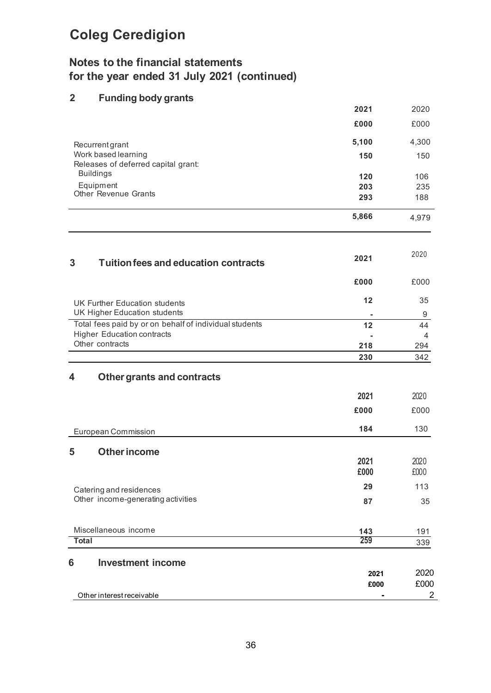## **Notes to the financial statements for the year ended 31 July 2021 (continued)**

## **2 Funding body grants**

| Other interest receivable                                                                   |              | $\overline{2}$       |
|---------------------------------------------------------------------------------------------|--------------|----------------------|
|                                                                                             | 2021<br>£000 | 2020<br>£000         |
| <b>Investment income</b><br>6                                                               |              |                      |
| <b>Total</b>                                                                                | 143<br>259   | 191<br>339           |
| Miscellaneous income                                                                        |              |                      |
| Other income-generating activities                                                          | 87           | 35                   |
| Catering and residences                                                                     | 29           | 113                  |
| <b>Other income</b><br>5                                                                    | 2021<br>£000 | 2020<br>£000         |
| European Commission                                                                         | 184          | 130                  |
|                                                                                             | £000         | £000                 |
|                                                                                             | 2021         | 2020                 |
| 4<br><b>Other grants and contracts</b>                                                      |              |                      |
|                                                                                             | 230          | 342                  |
| Other contracts                                                                             | 218          | 294                  |
| Total fees paid by or on behalf of individual students<br><b>Higher Education contracts</b> | 12           | 44<br>$\overline{4}$ |
| UK Higher Education students                                                                |              | 9                    |
| <b>UK Further Education students</b>                                                        | 12           | 35                   |
|                                                                                             | £000         | £000                 |
| <b>Tuition fees and education contracts</b><br>3                                            | 2021         | 2020                 |
|                                                                                             | 5,866        | 4,979                |
| <b>Other Revenue Grants</b>                                                                 | 293          | 188                  |
| Releases of deferred capital grant:<br><b>Buildings</b><br>Equipment                        | 120<br>203   | 106<br>235           |
| Recurrentgrant<br>Work based learning                                                       | 150          | 150                  |
|                                                                                             | 5,100        | 4,300                |
|                                                                                             | £000         | £000                 |
|                                                                                             | 2021         | 2020                 |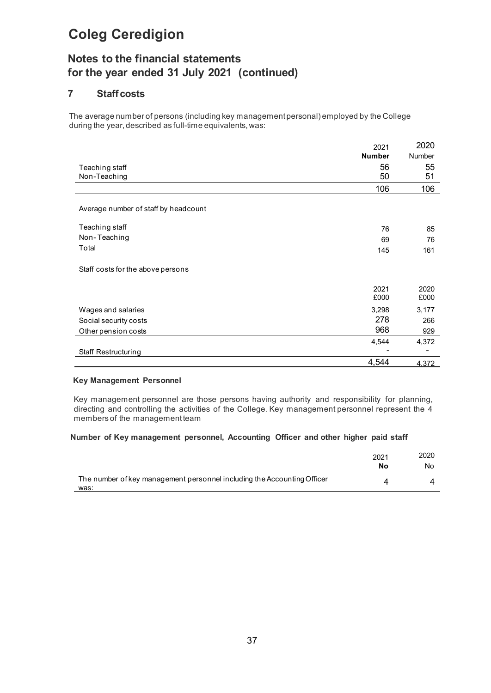## **Notes to the financial statements for the year ended 31 July 2021 (continued)**

## **7 Staffcosts**

The average number of persons (including key management personal) employed by the College during the year, described as full-time equivalents,was:

|                                      | 2021          | 2020          |
|--------------------------------------|---------------|---------------|
|                                      | <b>Number</b> | <b>Number</b> |
| Teaching staff                       | 56            | 55            |
| Non-Teaching                         | 50            | 51            |
|                                      | 106           | 106           |
|                                      |               |               |
| Average number of staff by headcount |               |               |
| Teaching staff                       | 76            | 85            |
| Non-Teaching                         | 69            | 76            |
| Total                                | 145           | 161           |
| Staff costs for the above persons    |               |               |
|                                      | 2021          | 2020          |
|                                      | £000          | £000          |
| Wages and salaries                   | 3,298         | 3,177         |
| Social security costs                | 278           | 266           |
| Other pension costs                  | 968           | 929           |
|                                      | 4,544         | 4,372         |
| <b>Staff Restructuring</b>           |               |               |
|                                      | 4,544         | 4,372         |

### **Key Management Personnel**

Key management personnel are those persons having authority and responsibility for planning, directing and controlling the activities of the College. Key management personnel represent the 4 members of the management team

## **Number of Key management personnel, Accounting Officer and other higher paid staff**

|                                                                                 | 2021<br>No | 2020<br>No |
|---------------------------------------------------------------------------------|------------|------------|
| The number of key management personnel including the Accounting Officer<br>was: |            |            |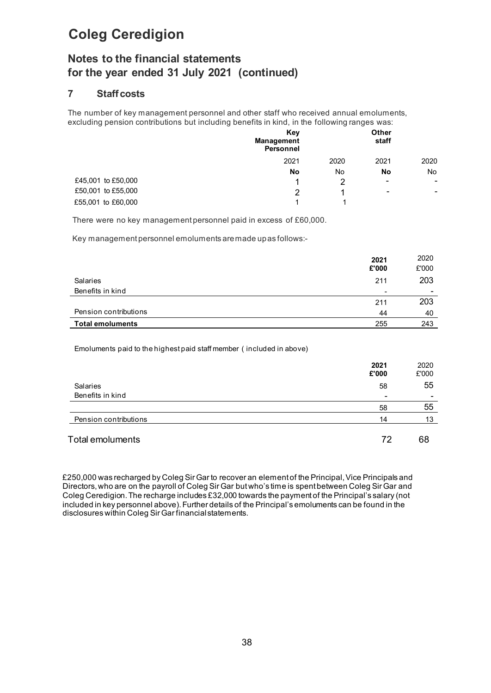## **Notes to the financial statements for the year ended 31 July 2021 (continued)**

## **7 Staffcosts**

The number of key management personnel and other staff who received annual emoluments, excluding pension contributions but including benefits in kind, in the following ranges was:

|                    | Key<br><b>Management</b><br><b>Personnel</b> |      | Other<br>staff           |                          |
|--------------------|----------------------------------------------|------|--------------------------|--------------------------|
|                    | 2021                                         | 2020 | 2021                     | 2020                     |
|                    | No                                           | No   | No                       | No.                      |
| £45,001 to £50,000 | 1                                            | っ    | $\overline{\phantom{a}}$ | $\blacksquare$           |
| £50,001 to £55,000 | 2                                            |      | -                        | $\overline{\phantom{0}}$ |
| £55,001 to £60,000 | и                                            |      |                          |                          |
|                    |                                              |      |                          |                          |

There were no key management personnel paid in excess of £60,000.

Key management personnel emoluments aremade upas follows:-

|                         | 2021<br>£'000            | 2020<br>£'000  |
|-------------------------|--------------------------|----------------|
| <b>Salaries</b>         | 211                      | 203            |
| Benefits in kind        | $\overline{\phantom{a}}$ | $\blacksquare$ |
|                         | 211                      | 203            |
| Pension contributions   | 44                       | 40             |
| <b>Total emoluments</b> | 255                      | 243            |

Emoluments paid to the highest paid staff member ( included in above)

|                       | 2021<br>£'000            | 2020<br>£'000 |
|-----------------------|--------------------------|---------------|
| <b>Salaries</b>       | 58                       | 55            |
| Benefits in kind      | $\overline{\phantom{0}}$ | $\,$          |
|                       | 58                       | 55            |
| Pension contributions | 14                       | 13            |
| Total emoluments      | 72                       | 68            |

£250,000 was recharged by Coleg Sir Gar to recover an element of the Principal, Vice Principals and Directors, who are on the payroll of Coleg Sir Gar but who's time is spent between Coleg Sir Gar and Coleg Ceredigion. The recharge includes £32,000 towards the payment of the Principal's salary (not included in key personnel above). Further details of the Principal's emoluments can be found in the disclosures within Coleg Sir Gar financial statements.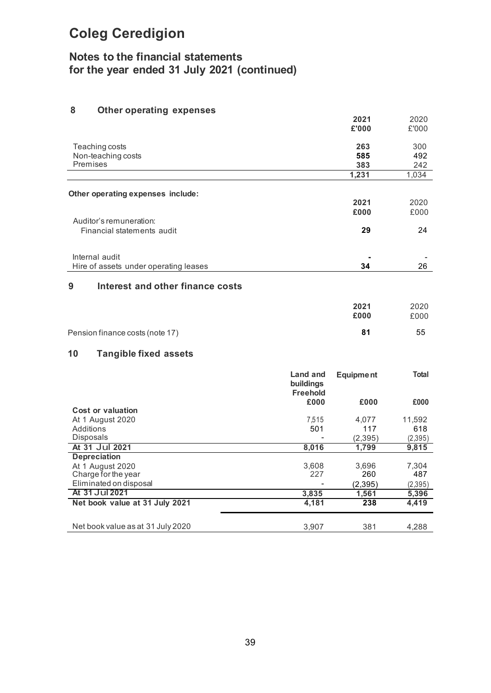## **Notes to the financial statements for the year ended 31 July 2021 (continued)**

## **8 Other operating expenses**

|                                                       |                                          | 2021<br>£'000     | 2020<br>£'000     |
|-------------------------------------------------------|------------------------------------------|-------------------|-------------------|
| Teaching costs<br>Non-teaching costs<br>Premises      |                                          | 263<br>585<br>383 | 300<br>492<br>242 |
|                                                       |                                          | 1,231             | 1,034             |
| Other operating expenses include:                     |                                          |                   |                   |
|                                                       |                                          | 2021              | 2020              |
|                                                       |                                          | £000              | £000              |
| Auditor's remuneration:<br>Financial statements audit |                                          | 29                | 24                |
|                                                       |                                          |                   |                   |
| Internal audit                                        |                                          |                   |                   |
| Hire of assets under operating leases                 |                                          | 34                | 26                |
| Interest and other finance costs<br>9                 |                                          |                   |                   |
|                                                       |                                          | 2021              | 2020              |
|                                                       |                                          | £000              | £000              |
| Pension finance costs (note 17)                       |                                          | 81                | 55                |
| 10<br><b>Tangible fixed assets</b>                    |                                          |                   |                   |
|                                                       | Land and<br>buildings<br><b>Freehold</b> | <b>Equipment</b>  | <b>Total</b>      |
|                                                       | £000                                     | £000              | £000              |
| <b>Cost or valuation</b>                              |                                          |                   |                   |
| At 1 August 2020<br>Additions                         | 7,515<br>501                             | 4,077<br>117      | 11,592<br>618     |
| Disposals                                             |                                          | (2, 395)          | (2,395)           |
| At 31 Jul 2021                                        | 8,016                                    | 1,799             | 9,815             |
| <b>Depreciation</b>                                   |                                          |                   |                   |
| At 1 August 2020<br>Charge for the year               | 3,608<br>227                             | 3,696<br>260      | 7,304<br>487      |
| Eliminated on disposal                                |                                          | (2, 395)          | (2,395)           |
| At 31 Jul 2021                                        | 3,835                                    | 1,561             | 5,396             |
| Net book value at 31 July 2021                        | 4,181                                    | 238               | 4,419             |
| Net book value as at 31 July 2020                     | 3,907                                    | 381               | 4,288             |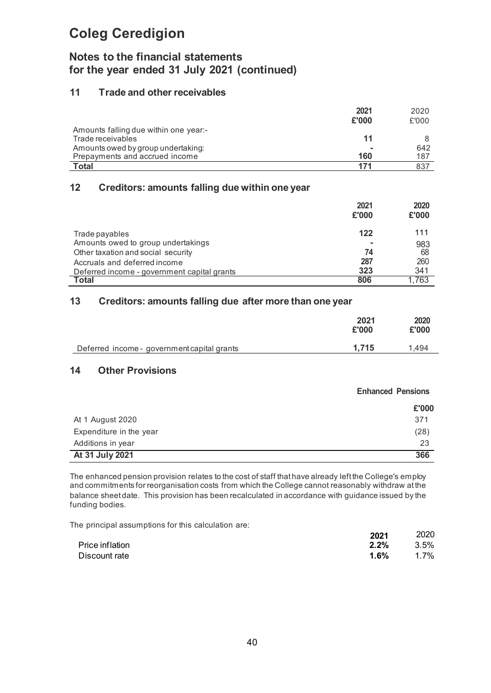## **Notes to the financial statements for the year ended 31 July 2021 (continued)**

## **11 Trade and other receivables**

|                                       | 2021  | 2020  |
|---------------------------------------|-------|-------|
|                                       | £'000 | £'000 |
| Amounts falling due within one year:- |       |       |
| Trade receivables                     | 11    |       |
| Amounts owed by group undertaking:    |       | 642   |
| Prepayments and accrued income        | 160   | 187   |
| <b>Total</b>                          | 171   | 837   |

## **12 Creditors: amounts falling due within one year**

|                                             | 2021<br>£'000 | 2020<br>£'000 |
|---------------------------------------------|---------------|---------------|
| Trade payables                              | 122           | 111           |
| Amounts owed to group undertakings          |               | 983           |
| Other taxation and social security          | 74            | 68            |
| Accruals and deferred income                | 287           | 260           |
| Deferred income - government capital grants | 323           | 341           |
| Total                                       | 806           | .763          |

## **13 Creditors: amounts falling due after more than one year**

|                                             | 2021<br>£'000 | 2020<br>£'000 |
|---------------------------------------------|---------------|---------------|
| Deferred income - government capital grants | 1.715         | 1.494         |

## **14 Other Provisions**

|                         | <b>Enhanced Pensions</b> |  |
|-------------------------|--------------------------|--|
|                         | £'000                    |  |
| At 1 August 2020        | 371                      |  |
| Expenditure in the year | (28)                     |  |
| Additions in year       | 23                       |  |
| At 31 July 2021         | 366                      |  |

The enhanced pension provision relates to the cost of staff that have already left the College's employ and commitments for reorganisation costs from which the College cannot reasonably withdraw atthe balance sheet date. This provision has been recalculated in accordance with guidance issued by the funding bodies.

The principal assumptions for this calculation are:

|                 | 2021    | 2020 |
|-----------------|---------|------|
| Price inflation | $2.2\%$ | 3.5% |
| Discount rate   | 1.6%    | 1.7% |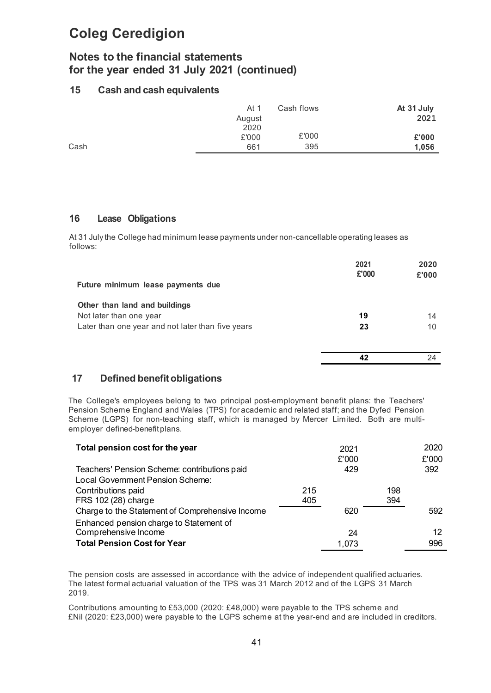## **Notes to the financial statements for the year ended 31 July 2021 (continued)**

## **15 Cash and cash equivalents**

| At 1   | Cash flows | At 31 July |
|--------|------------|------------|
| August |            | 2021       |
| 2020   |            |            |
| £'000  | £'000      | £'000      |
| 661    | 395        | 1,056      |
|        |            |            |

## **16 Lease Obligations**

At 31 July the College had minimum lease payments under non-cancellable operating leases as follows:

| Future minimum lease payments due                 | 2021<br>£'000 | 2020<br>£'000 |
|---------------------------------------------------|---------------|---------------|
| Other than land and buildings                     |               |               |
| Not later than one year                           | 19            | 14            |
| Later than one year and not later than five years | 23            | 10            |
|                                                   |               | 24            |

## **17 Defined benefitobligations**

The College's employees belong to two principal post-employment benefit plans: the Teachers' Pension Scheme England and Wales (TPS) for academic and related staff; and the Dyfed Pension Scheme (LGPS) for non-teaching staff, which is managed by Mercer Limited. Both are multiemployer defined-benefit plans.

| Total pension cost for the year                 |     | 2021  |     | 2020  |
|-------------------------------------------------|-----|-------|-----|-------|
|                                                 |     | £'000 |     | £'000 |
| Teachers' Pension Scheme: contributions paid    |     | 429   |     | 392   |
| Local Government Pension Scheme:                |     |       |     |       |
| Contributions paid                              | 215 |       | 198 |       |
| FRS 102 (28) charge                             | 405 |       | 394 |       |
| Charge to the Statement of Comprehensive Income |     | 620   |     | 592   |
| Enhanced pension charge to Statement of         |     |       |     |       |
| Comprehensive Income                            |     | 24    |     | 12    |
| <b>Total Pension Cost for Year</b>              |     | 1.073 |     | 996   |

The pension costs are assessed in accordance with the advice of independent qualified actuaries. The latest formal actuarial valuation of the TPS was 31 March 2012 and of the LGPS 31 March 2019.

Contributions amounting to £53,000 (2020: £48,000) were payable to the TPS scheme and £Nil (2020: £23,000) were payable to the LGPS scheme at the year-end and are included in creditors.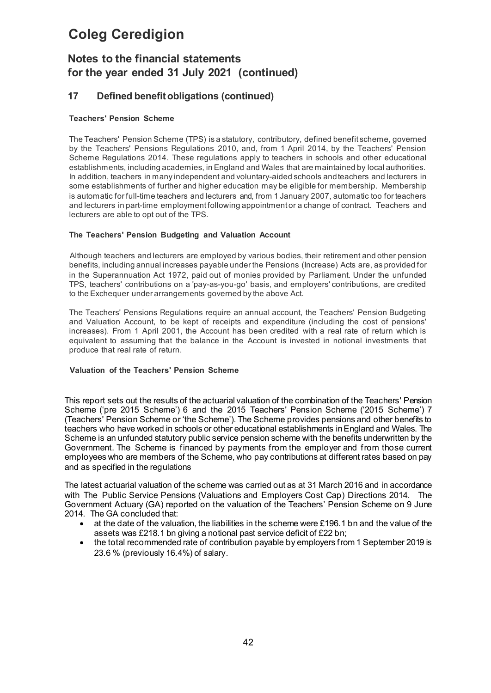## **Notes to the financial statements for the year ended 31 July 2021 (continued)**

## **17 Defined benefitobligations (continued)**

## **Teachers' Pension Scheme**

The Teachers' Pension Scheme (TPS) is a statutory, contributory, defined benefit scheme, governed by the Teachers' Pensions Regulations 2010, and, from 1 April 2014, by the Teachers' Pension Scheme Regulations 2014. These regulations apply to teachers in schools and other educational establishments, including academies, in England and Wales that are maintained by local authorities. In addition, teachers in many independent and voluntary-aided schools andteachers and lecturers in some establishments of further and higher education may be eligible for membership. Membership is automatic for full-time teachers and lecturers and, from 1 January 2007, automatic too for teachers and lecturers in part-time employment following appointment or a change of contract. Teachers and lecturers are able to opt out of the TPS.

## **The Teachers' Pension Budgeting and Valuation Account**

Although teachers and lecturers are employed by various bodies, their retirement and other pension benefits, including annual increases payable under the Pensions (Increase) Acts are, as provided for in the Superannuation Act 1972, paid out of monies provided by Parliament. Under the unfunded TPS, teachers' contributions on a 'pay-as-you-go' basis, and employers' contributions, are credited to the Exchequer under arrangements governed by the above Act.

The Teachers' Pensions Regulations require an annual account, the Teachers' Pension Budgeting and Valuation Account, to be kept of receipts and expenditure (including the cost of pensions' increases). From 1 April 2001, the Account has been credited with a real rate of return which is equivalent to assuming that the balance in the Account is invested in notional investments that produce that real rate of return.

## **Valuation of the Teachers' Pension Scheme**

This report sets out the results of the actuarial valuation of the combination of the Teachers' Pension Scheme ('pre 2015 Scheme') 6 and the 2015 Teachers' Pension Scheme ('2015 Scheme') 7 (Teachers' Pension Scheme or 'the Scheme'). The Scheme provides pensions and other benefits to teachers who have worked in schools or other educational establishments in England and Wales. The Scheme is an unfunded statutory public service pension scheme with the benefits underwritten by the Government. The Scheme is financed by payments from the employer and from those current employees who are members of the Scheme, who pay contributions at different rates based on pay and as specified in the regulations

The latest actuarial valuation of the scheme was carried out as at 31 March 2016 and in accordance with The Public Service Pensions (Valuations and Employers Cost Cap) Directions 2014. The Government Actuary (GA) reported on the valuation of the Teachers' Pension Scheme on 9 June 2014. The GA concluded that:

- at the date of the valuation, the liabilities in the scheme were £196.1 bn and the value of the assets was £218.1 bn giving a notional past service deficit of £22 bn;
- the total recommended rate of contribution payable by employers from 1 September 2019 is 23.6 % (previously 16.4%) of salary.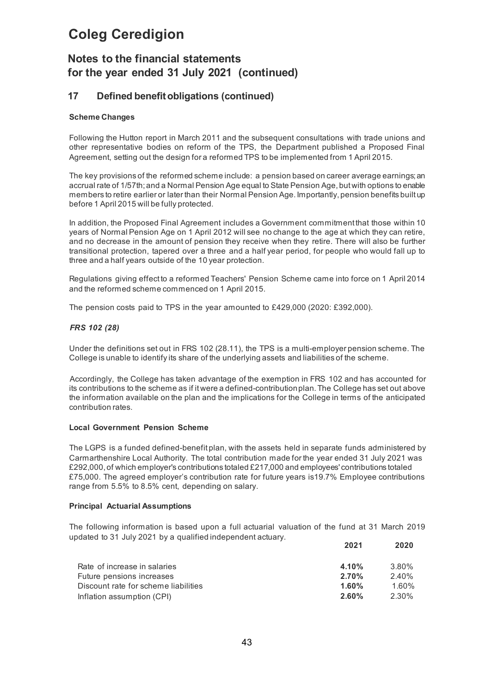## **Notes to the financial statements for the year ended 31 July 2021 (continued)**

## **17 Defined benefitobligations (continued)**

### **Scheme Changes**

Following the Hutton report in March 2011 and the subsequent consultations with trade unions and other representative bodies on reform of the TPS, the Department published a Proposed Final Agreement, setting out the design for a reformed TPS to be implemented from 1 April 2015.

The key provisions of the reformed scheme include: a pension based on career average earnings; an accrual rate of 1/57th; and a Normal Pension Age equal to State Pension Age, but with options to enable members to retire earlier or later than their Normal Pension Age. Importantly, pension benefits built up before 1 April 2015 will be fully protected.

In addition, the Proposed Final Agreement includes a Government commitment that those within 10 years of Normal Pension Age on 1 April 2012 will see no change to the age at which they can retire, and no decrease in the amount of pension they receive when they retire. There will also be further transitional protection, tapered over a three and a half year period, for people who would fall up to three and a half years outside of the 10 year protection.

Regulations giving effect to a reformed Teachers' Pension Scheme came into force on 1 April 2014 and the reformed scheme commenced on 1 April 2015.

The pension costs paid to TPS in the year amounted to £429,000 (2020: £392,000).

### *FRS 102 (28)*

Under the definitions set out in FRS 102 (28.11), the TPS is a multi-employer pension scheme. The College is unable to identify its share of the underlying assets and liabilities of the scheme.

Accordingly, the College has taken advantage of the exemption in FRS 102 and has accounted for its contributions to the scheme as if itwere a defined-contributionplan.The College has set out above the information available on the plan and the implications for the College in terms of the anticipated contribution rates.

#### **Local Government Pension Scheme**

The LGPS is a funded defined-benefit plan, with the assets held in separate funds administered by Carmarthenshire Local Authority. The total contribution made for the year ended 31 July 2021 was £292,000, of which employer's contributions totaled £217,000 and employees' contributions totaled £75,000. The agreed employer's contribution rate for future years is19.7% Employee contributions range from 5.5% to 8.5% cent, depending on salary.

#### **Principal Actuarial Assumptions**

The following information is based upon a full actuarial valuation of the fund at 31 March 2019 updated to 31 July 2021 by a qualified independent actuary.

|                                      | 2021     | 2020     |
|--------------------------------------|----------|----------|
| Rate of increase in salaries         | 4.10%    | 3.80%    |
| Future pensions increases            | 2.70%    | $2.40\%$ |
| Discount rate for scheme liabilities | $1.60\%$ | 1.60%    |
| Inflation assumption (CPI)           | $2.60\%$ | 2.30%    |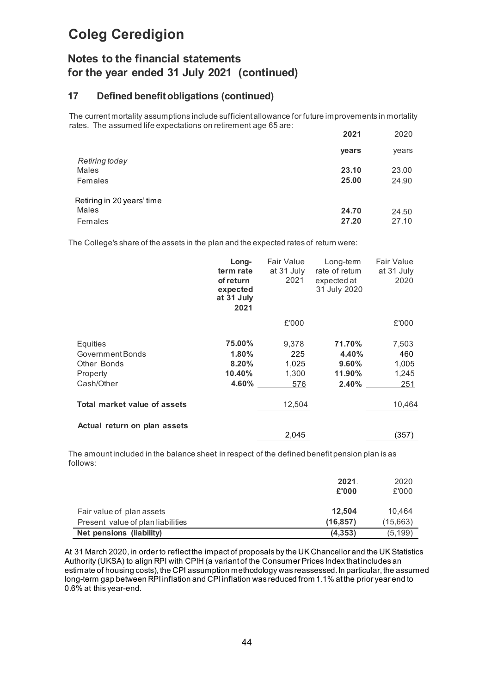## **Notes to the financial statements for the year ended 31 July 2021 (continued)**

## **17 Defined benefitobligations (continued)**

The current mortality assumptions include sufficient allowance for future improvements in mortality rates. The assumed life expectations on retirement age 65 are:

|                                                | 2021           | 2020           |
|------------------------------------------------|----------------|----------------|
|                                                | years          | years          |
| <b>Retiring today</b><br>Males<br>Females      | 23.10<br>25.00 | 23.00<br>24.90 |
| Retiring in 20 years' time<br>Males<br>Females | 24.70<br>27.20 | 24.50<br>27.10 |

The College's share of the assets in the plan and the expected rates of return were:

|                              | Long-<br>term rate<br>of return<br>expected<br>at 31 July<br>2021 | <b>Fair Value</b><br>at 31 July<br>2021 | Long-term<br>rate of retum<br>expected at<br>31 July 2020 | <b>Fair Value</b><br>at 31 July<br>2020 |
|------------------------------|-------------------------------------------------------------------|-----------------------------------------|-----------------------------------------------------------|-----------------------------------------|
|                              |                                                                   | £'000                                   |                                                           | £'000                                   |
| Equities                     | 75.00%                                                            | 9.378                                   | 71.70%                                                    | 7,503                                   |
| Government Bonds             | 1.80%                                                             | 225                                     | 4.40%                                                     | 460                                     |
| Other Bonds                  | 8.20%                                                             | 1,025                                   | 9.60%                                                     | 1,005                                   |
| Property                     | 10.40%                                                            | 1,300                                   | 11.90%                                                    | 1,245                                   |
| Cash/Other                   | 4.60%                                                             | 576                                     | 2.40%                                                     | 251                                     |
| Total market value of assets |                                                                   | 12,504                                  |                                                           | 10,464                                  |
| Actual return on plan assets |                                                                   | 2,045                                   |                                                           | (357)                                   |

The amount included in the balance sheet in respect of the defined benefit pension plan is as follows:

|                                   | 2021<br>£'000 | 2020<br>£'000 |
|-----------------------------------|---------------|---------------|
| Fair value of plan assets         | 12.504        | 10.464        |
| Present value of plan liabilities | (16, 857)     | (15,663)      |
| Net pensions (liability)          | (4,353)       | (5, 199)      |

At 31 March 2020, in order to reflect the impact of proposals by the UK Chancellor and the UK Statistics Authority (UKSA) to align RPI with CPIH (a variant of the Consumer Prices Index that includes an estimate of housing costs), the CPI assumption methodology was reassessed. In particular, the assumed long-term gap between RPI inflation and CPI inflation was reduced from 1.1% at the prior year end to 0.6% at this year-end.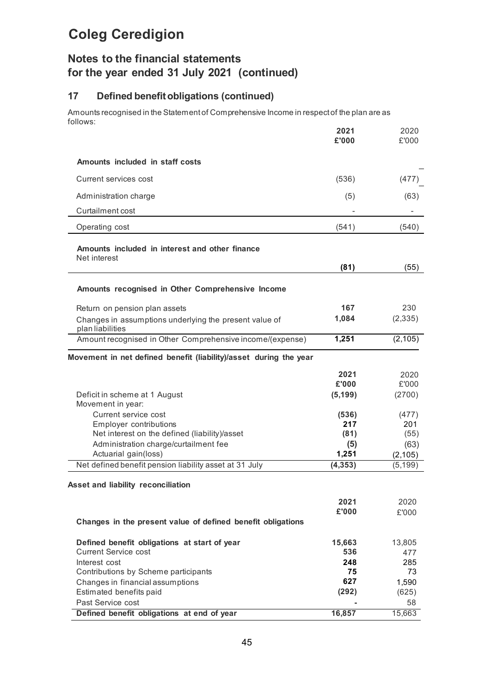## **Notes to the financial statements for the year ended 31 July 2021 (continued)**

## **17 Defined benefitobligations (continued)**

Amounts recognised in the Statement of Comprehensive Income in respect of the plan are as follows:

|                                                                                                                                                               | 2021<br>£'000               | 2020<br>£'000                  |
|---------------------------------------------------------------------------------------------------------------------------------------------------------------|-----------------------------|--------------------------------|
| Amounts included in staff costs                                                                                                                               |                             |                                |
| Current services cost                                                                                                                                         | (536)                       | (477)                          |
| Administration charge                                                                                                                                         | (5)                         | (63)                           |
| Curtailment cost                                                                                                                                              |                             |                                |
| Operating cost                                                                                                                                                | (541)                       | (540)                          |
| Amounts included in interest and other finance<br>Net interest                                                                                                |                             |                                |
|                                                                                                                                                               | (81)                        | (55)                           |
| Amounts recognised in Other Comprehensive Income                                                                                                              |                             |                                |
| Return on pension plan assets                                                                                                                                 | 167                         | 230                            |
| Changes in assumptions underlying the present value of<br>plan liabilities                                                                                    | 1,084                       | (2, 335)                       |
| Amount recognised in Other Comprehensive income/(expense)                                                                                                     | 1,251                       | (2, 105)                       |
| Movement in net defined benefit (liability)/asset during the year                                                                                             |                             |                                |
| Deficit in scheme at 1 August                                                                                                                                 | 2021<br>£'000<br>(5, 199)   | 2020<br>£'000<br>(2700)        |
| Movement in year:<br>Current service cost<br>Employer contributions<br>Net interest on the defined (liability)/asset<br>Administration charge/curtailment fee | (536)<br>217<br>(81)<br>(5) | (477)<br>201<br>(55)<br>(63)   |
| Actuarial gain(loss)                                                                                                                                          | 1,251                       | (2, 105)                       |
| Net defined benefit pension liability asset at 31 July                                                                                                        | (4, 353)                    | (5, 199)                       |
| Asset and liability reconciliation                                                                                                                            |                             |                                |
| Changes in the present value of defined benefit obligations                                                                                                   | 2021<br>£'000               | 2020<br>£'000                  |
| Defined benefit obligations at start of year<br><b>Current Service cost</b><br>Interest cost<br>Contributions by Scheme participants                          | 15,663<br>536<br>248<br>75  | 13,805<br>477<br>285<br>73     |
| Changes in financial assumptions<br>Estimated benefits paid<br>Past Service cost<br>Defined benefit obligations at end of year                                | 627<br>(292)<br>16,857      | 1,590<br>(625)<br>58<br>15,663 |
|                                                                                                                                                               |                             |                                |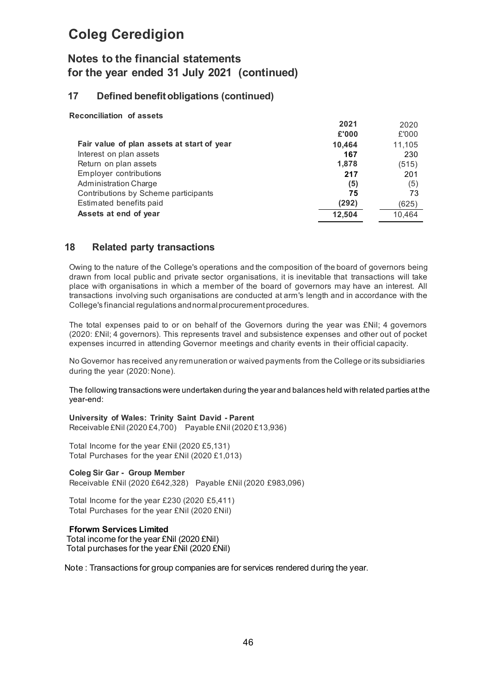## **Notes to the financial statements for the year ended 31 July 2021 (continued)**

## **17 Defined benefitobligations (continued)**

## **Reconciliation of assets**

|                                            | 2021   | 2020   |
|--------------------------------------------|--------|--------|
|                                            | £'000  | £'000  |
| Fair value of plan assets at start of year | 10,464 | 11,105 |
| Interest on plan assets                    | 167    | 230    |
| Return on plan assets                      | 1,878  | (515)  |
| Employer contributions                     | 217    | 201    |
| <b>Administration Charge</b>               | (5)    | (5)    |
| Contributions by Scheme participants       | 75     | 73     |
| Estimated benefits paid                    | (292)  | (625)  |
| Assets at end of year                      | 12,504 | 10,464 |

## **18 Related party transactions**

Owing to the nature of the College's operations and the composition of the board of governors being drawn from local public and private sector organisations, it is inevitable that transactions will take place with organisations in which a member of the board of governors may have an interest. All transactions involving such organisations are conducted at arm's length and in accordance with the College's financial regulations andnormalprocurement procedures.

The total expenses paid to or on behalf of the Governors during the year was £Nil; 4 governors (2020: £Nil; 4 governors). This represents travel and subsistence expenses and other out of pocket expenses incurred in attending Governor meetings and charity events in their official capacity.

No Governor has received any remuneration or waived payments from the College or its subsidiaries during the year (2020:None).

The following transactions were undertaken during the year and balances held with related parties at the year-end:

**University of Wales: Trinity Saint David - Parent** Receivable £Nil (2020 £4,700) Payable £Nil (2020 £13,936)

Total Income for the year £Nil (2020 £5,131) Total Purchases for the year £Nil (2020 £1,013)

#### **Coleg Sir Gar - Group Member**

Receivable £Nil (2020 £642,328) Payable £Nil (2020 £983,096)

Total Income for the year £230 (2020 £5,411) Total Purchases for the year £Nil (2020 £Nil)

## **Fforwm Services Limited**

Total income for the year £Nil (2020 £Nil) Total purchases for the year £Nil (2020 £Nil)

Note : Transactions for group companies are for services rendered during the year.